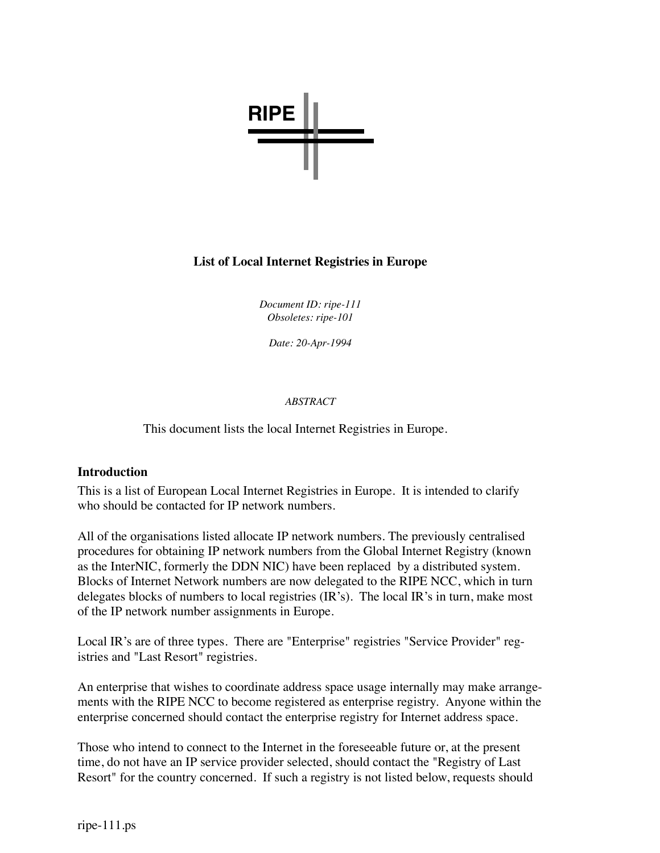

#### **List of Local Internet Registries in Europe**

*Document ID: ripe-111 Obsoletes: ripe-101*

*Date: 20-Apr-1994*

#### *ABSTRACT*

This document lists the local Internet Registries in Europe.

#### **Introduction**

This is a list of European Local Internet Registries in Europe. It is intended to clarify who should be contacted for IP network numbers.

All of the organisations listed allocate IP network numbers. The previously centralised procedures for obtaining IP network numbers from the Global Internet Registry (known as the InterNIC, formerly the DDN NIC) have been replaced by a distributed system. Blocks of Internet Network numbers are now delegated to the RIPE NCC, which in turn delegates blocks of numbers to local registries (IR's). The local IR's in turn, make most of the IP network number assignments in Europe.

Local IR's are of three types. There are "Enterprise" registries "Service Provider" registries and "Last Resort" registries.

An enterprise that wishes to coordinate address space usage internally may make arrangements with the RIPE NCC to become registered as enterprise registry. Anyone within the enterprise concerned should contact the enterprise registry for Internet address space.

Those who intend to connect to the Internet in the foreseeable future or, at the present time, do not have an IP service provider selected, should contact the "Registry of Last Resort" for the country concerned. If such a registry is not listed below, requests should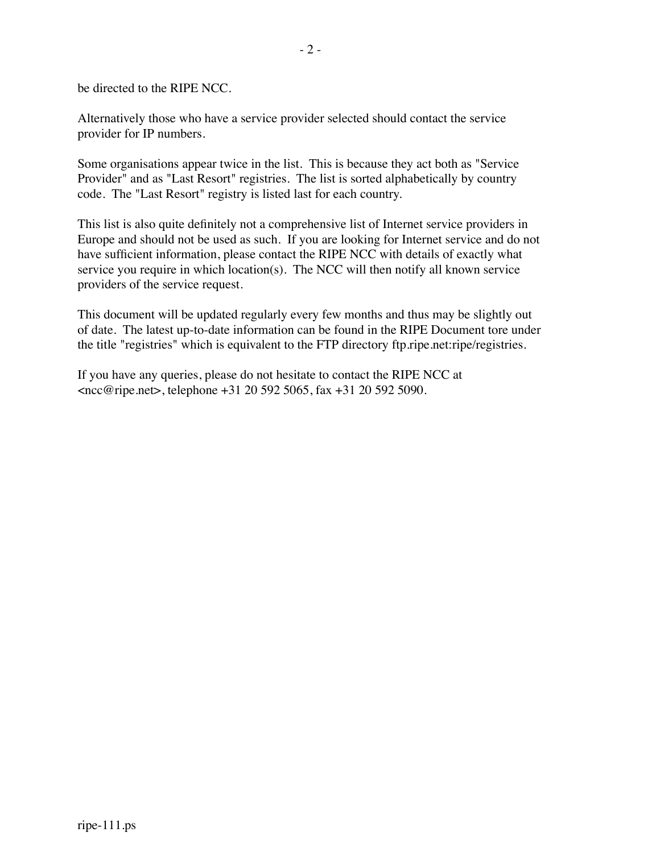be directed to the RIPE NCC.

Alternatively those who have a service provider selected should contact the service provider for IP numbers.

Some organisations appear twice in the list. This is because they act both as "Service Provider" and as "Last Resort" registries. The list is sorted alphabetically by country code. The "Last Resort" registry is listed last for each country.

This list is also quite definitely not a comprehensive list of Internet service providers in Europe and should not be used as such. If you are looking for Internet service and do not have sufficient information, please contact the RIPE NCC with details of exactly what service you require in which location(s). The NCC will then notify all known service providers of the service request.

This document will be updated regularly every few months and thus may be slightly out of date. The latest up-to-date information can be found in the RIPE Document tore under the title "registries" which is equivalent to the FTP directory ftp.ripe.net:ripe/registries.

If you have any queries, please do not hesitate to contact the RIPE NCC at  $<$ ncc@ripe.net>, telephone +31 20 592 5065, fax +31 20 592 5090.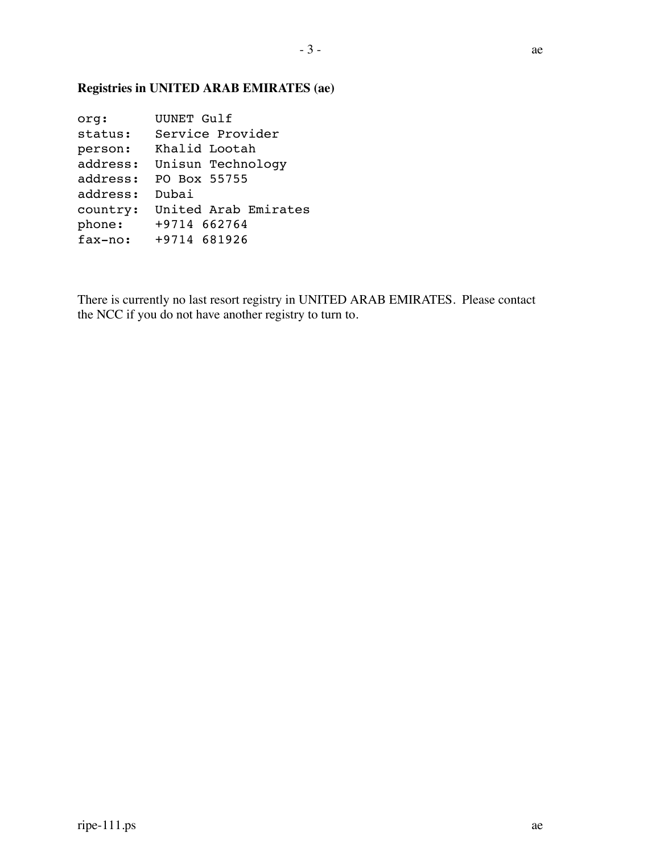#### **Registries in UNITED ARAB EMIRATES (ae)**

org: UUNET Gulf status: Service Provider person: Khalid Lootah address: Unisun Technology address: PO Box 55755 address: Dubai country: United Arab Emirates phone: +9714 662764 fax-no: +9714 681926

There is currently no last resort registry in UNITED ARAB EMIRATES. Please contact the NCC if you do not have another registry to turn to.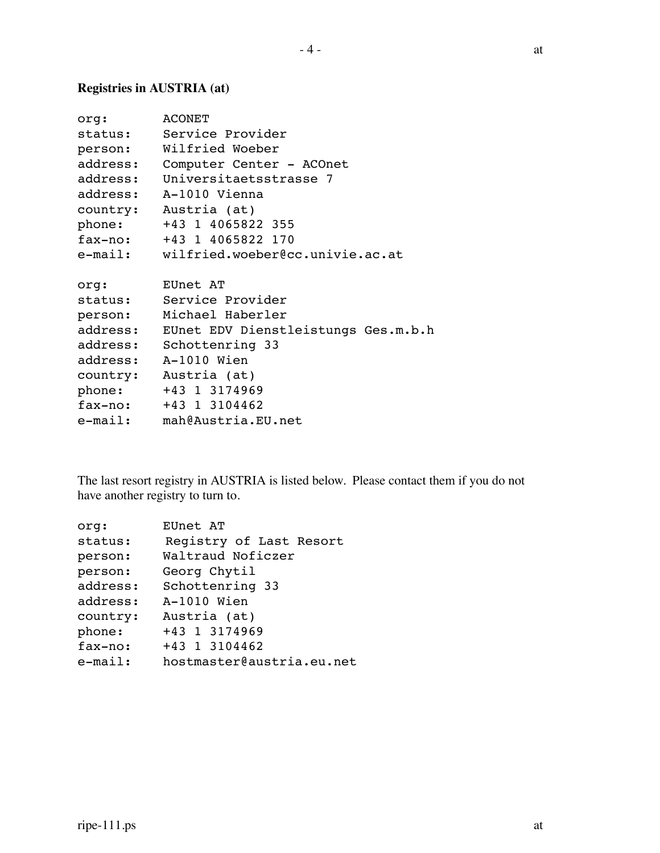### **Registries in AUSTRIA (at)**

| org:     | <b>ACONET</b>                           |
|----------|-----------------------------------------|
| status:  | Service Provider                        |
| person:  | Wilfried Woeber                         |
| address: | Computer Center - ACOnet                |
| address: | Universitaetsstrasse 7                  |
| address: | A-1010 Vienna                           |
|          | country: Austria (at)                   |
| phone:   | +43 1 4065822 355                       |
|          | fax-no: +43 1 4065822 170               |
|          | e-mail: wilfried.woeber@cc.univie.ac.at |
|          |                                         |
| org:     | EUnet AT                                |
|          | status: Service Provider                |
| person:  | Michael Haberler                        |
| address: | EUnet EDV Dienstleistungs Ges.m.b.h     |
|          | address: Schottenring 33                |
| address: | A-1010 Wien                             |
| country: | Austria (at)                            |
| phone:   | +43 1 3174969                           |
| fax-no:  | +43 1 3104462                           |
|          | e-mail: mah@Austria.EU.net              |

The last resort registry in AUSTRIA is listed below. Please contact them if you do not have another registry to turn to.

| org:       | EUnet AT                  |
|------------|---------------------------|
| status:    | Registry of Last Resort   |
| person:    | Waltraud Noficzer         |
| person:    | Georg Chytil              |
| address:   | Schottenring 33           |
| address:   | A-1010 Wien               |
| country:   | Austria (at)              |
| phone:     | +43 1 3174969             |
| fax-no:    | +43 1 3104462             |
| $e$ -mail: | hostmaster@austria.eu.net |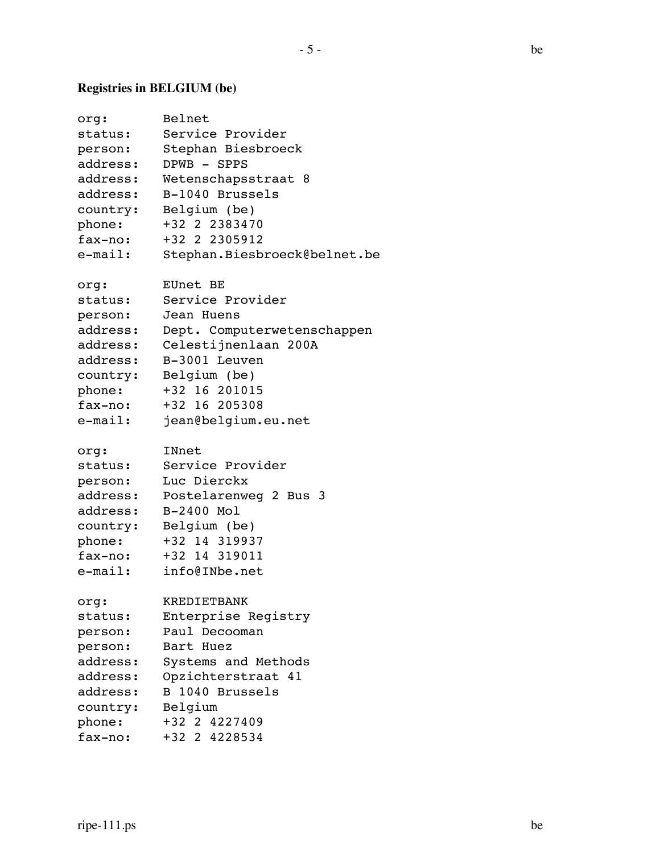## **Registries in BELGIUM (be)**

| org:       | Belnet                       |
|------------|------------------------------|
| status:    | Service Provider             |
| person:    | Stephan Biesbroeck           |
| address:   | DPWB - SPPS                  |
| address:   | Wetenschapsstraat 8          |
| address:   | B-1040 Brussels              |
| country:   | Belgium (be)                 |
| phone:     | +32 2 2383470                |
| fax-no:    | +32 2 2305912                |
| $e$ -mail: | Stephan.Biesbroeck@belnet.be |
| org:       | EUnet BE                     |
| status:    | Service Provider             |
| person:    | Jean Huens                   |
| address:   | Dept. Computerwetenschappen  |
| address:   | Celestijnenlaan 200A         |
| address:   | B-3001 Leuven                |
| country:   | Belgium (be)                 |
| phone:     | +32 16 201015                |
| fax-no:    | +32 16 205308                |
| e-mail:    | jean@belgium.eu.net          |
| org:       | INnet                        |
| status:    | Service Provider             |
| person:    | Luc Dierckx                  |
| address:   | Postelarenweg 2 Bus 3        |
| address:   | B-2400 Mol                   |
| country:   | Belgium (be)                 |
| phone:     | +32 14 319937                |
| fax-no:    | +32 14 319011                |
| e-mail:    | info@INbe.net                |
| org:       | <b>KREDIETBANK</b>           |
| status:    | Enterprise Registry          |
| person:    | Paul Decooman                |
| person:    | Bart Huez                    |
| address:   | Systems and Methods          |
| address:   | Opzichterstraat 41           |
| address:   | B 1040 Brussels              |
| country:   | Belgium                      |
| phone:     | +32 2 4227409                |
| fax-no:    | +32 2 4228534                |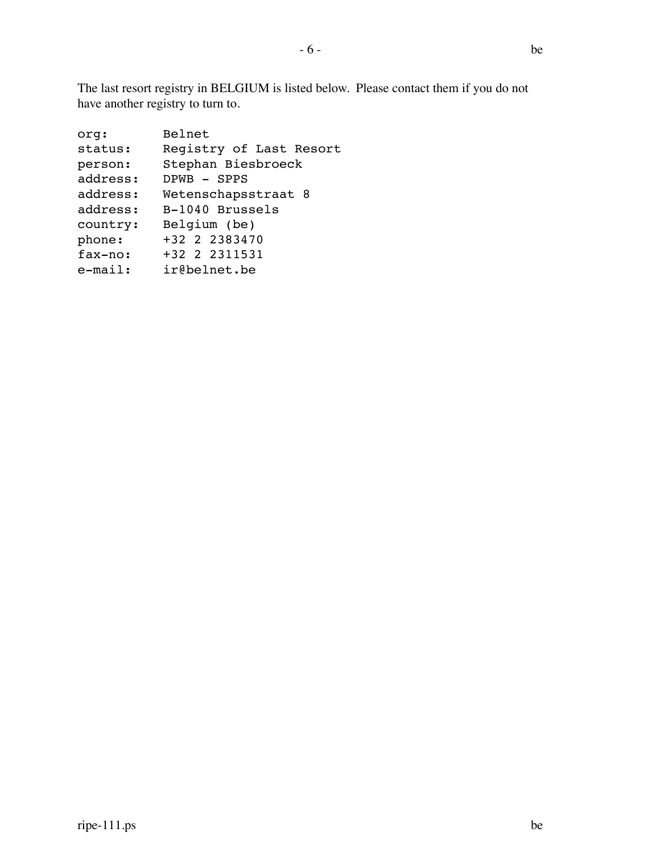The last resort registry in BELGIUM is listed below. Please contact them if you do not have another registry to turn to.

| org:       | Belnet                  |
|------------|-------------------------|
| status:    | Registry of Last Resort |
| person:    | Stephan Biesbroeck      |
| address:   | DPWB - SPPS             |
| address:   | Wetenschapsstraat 8     |
| address:   | B-1040 Brussels         |
| country:   | Belgium (be)            |
| phone:     | +32 2 2383470           |
| fax-no:    | +32 2 2311531           |
| $e$ -mail: | ir@belnet.be            |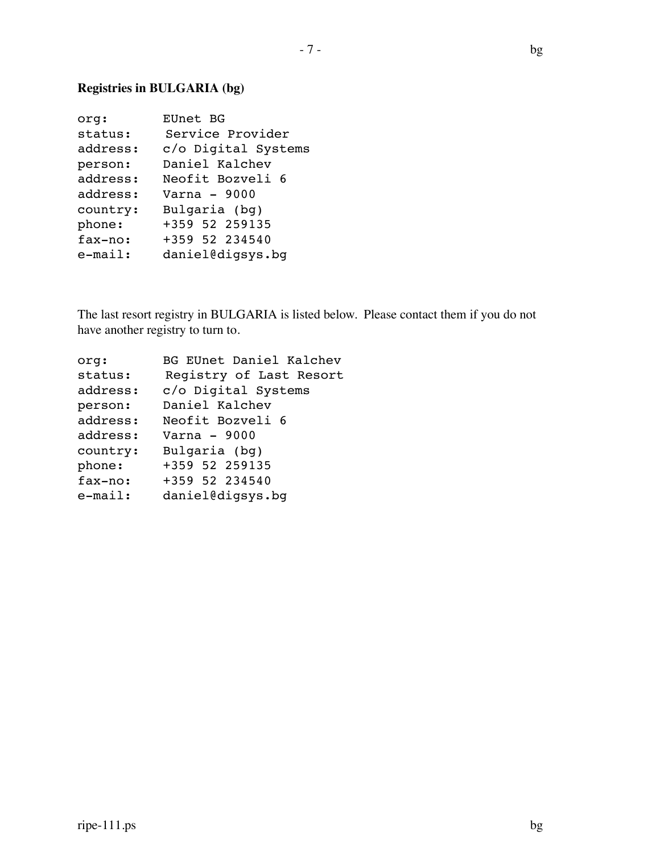### **Registries in BULGARIA (bg)**

| org:       | EUnet BG            |
|------------|---------------------|
| status:    | Service Provider    |
| address:   | c/o Digital Systems |
| person:    | Daniel Kalchev      |
| address:   | Neofit Bozveli 6    |
| address:   | $Varna - 9000$      |
| country:   | Bulgaria (bg)       |
| phone:     | +359 52 259135      |
| fax-no:    | +359 52 234540      |
| $e$ -mail: | daniel@digsys.bq    |

The last resort registry in BULGARIA is listed below. Please contact them if you do not have another registry to turn to.

| org:       | BG EUnet Daniel Kalchev |
|------------|-------------------------|
| status:    | Registry of Last Resort |
| address:   | c/o Digital Systems     |
| person:    | Daniel Kalchev          |
| address:   | Neofit Bozveli 6        |
| address:   | Varna $-9000$           |
| country:   | Bulgaria (bq)           |
| phone:     | +359 52 259135          |
| fax-no:    | +359 52 234540          |
| $e$ -mail: | daniel@digsys.bq        |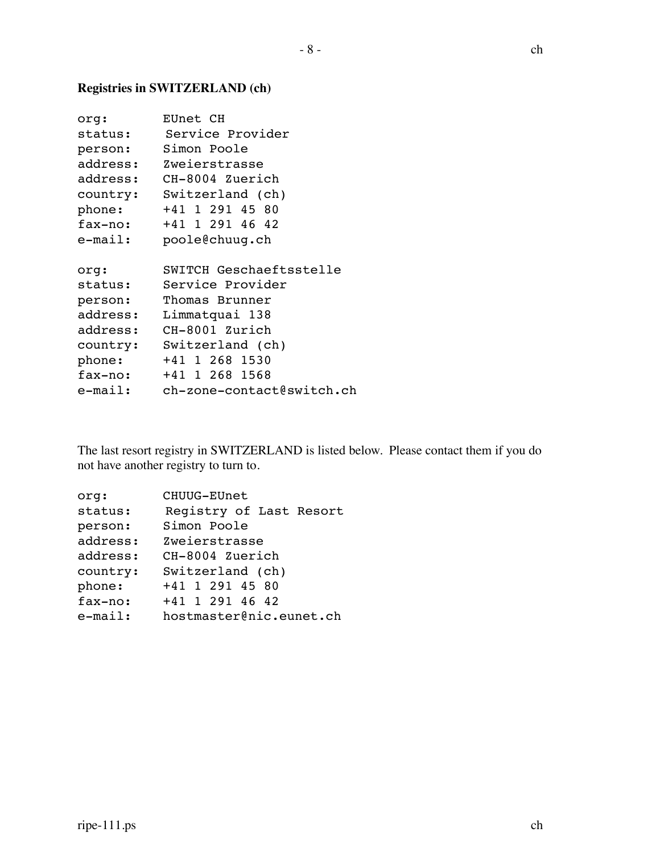#### **Registries in SWITZERLAND (ch)**

| org:     | EUnet CH                  |
|----------|---------------------------|
| status:  | Service Provider          |
| person:  | Simon Poole               |
| address: | Zweierstrasse             |
| address: | CH-8004 Zuerich           |
| country: | Switzerland (ch)          |
| phone:   | +41 1 291 45 80           |
| fax-no:  | +41 1 291 46 42           |
| e-mail:  | poole@chuuq.ch            |
|          |                           |
| org:     | SWITCH Geschaeftsstelle   |
| status:  | Service Provider          |
| person:  | Thomas Brunner            |
| address: | Limmatquai 138            |
| address: | CH-8001 Zurich            |
| country: | Switzerland (ch)          |
| phone:   | +41 1 268 1530            |
| fax-no:  | +41 1 268 1568            |
| e-mail:  | ch-zone-contact@switch.ch |

The last resort registry in SWITZERLAND is listed below. Please contact them if you do not have another registry to turn to.

| org:       | CHUUG-EUnet             |
|------------|-------------------------|
| status:    | Registry of Last Resort |
| person:    | Simon Poole             |
| address:   | Zweierstrasse           |
| address:   | CH-8004 Zuerich         |
| country:   | Switzerland (ch)        |
| phone:     | +41 1 291 45 80         |
| fax-no:    | +41 1 291 46 42         |
| $e$ -mail: | hostmaster@nic.eunet.ch |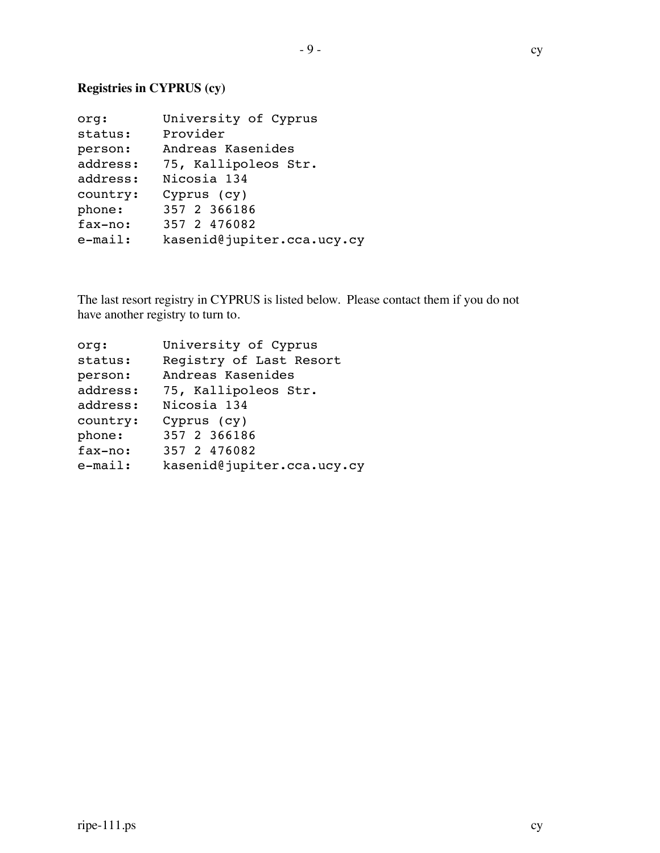### **Registries in CYPRUS (cy)**

| org:       | University of Cyprus       |
|------------|----------------------------|
| status:    | Provider                   |
| person:    | Andreas Kasenides          |
| address:   | 75, Kallipoleos Str.       |
| address:   | Nicosia 134                |
| country:   | Cyprus (cy)                |
| phone:     | 357 2 366186               |
| fax-no:    | 357 2 476082               |
| $e$ -mail: | kasenid@jupiter.cca.ucy.cy |
|            |                            |

The last resort registry in CYPRUS is listed below. Please contact them if you do not have another registry to turn to.

| org:       | University of Cyprus       |
|------------|----------------------------|
| status:    | Registry of Last Resort    |
| person:    | Andreas Kasenides          |
| address:   | 75, Kallipoleos Str.       |
| address:   | Nicosia 134                |
| country:   | Cyprus (cy)                |
| phone:     | 357 2 366186               |
| fax-no:    | 357 2 476082               |
| $e$ -mail: | kasenid@jupiter.cca.ucy.cy |
|            |                            |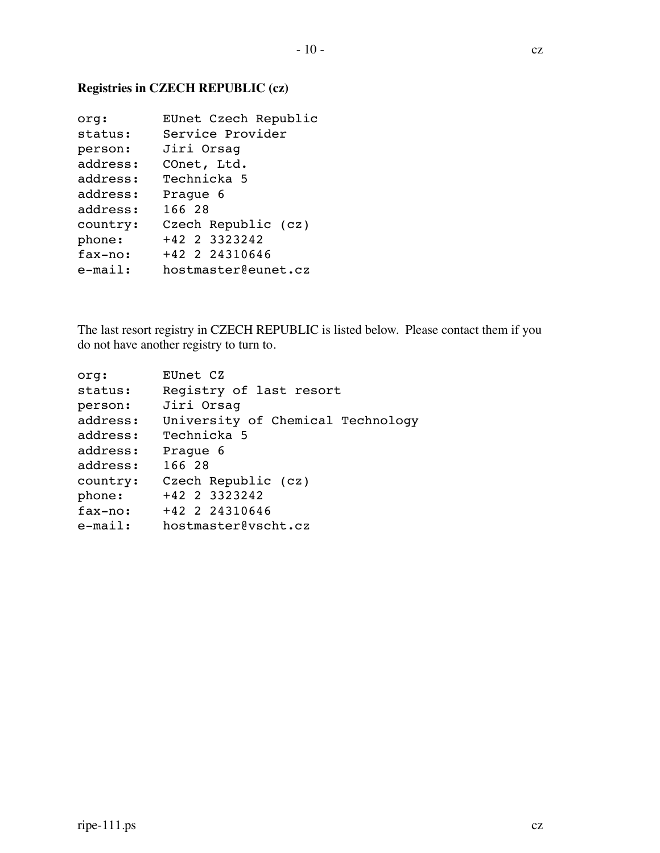### **Registries in CZECH REPUBLIC (cz)**

| org:     | EUnet Czech Republic |
|----------|----------------------|
| status:  | Service Provider     |
| person:  | Jiri Orsaq           |
| address: | COnet, Ltd.          |
| address: | Technicka 5          |
| address: | Praque 6             |
| address: | 166 28               |
| country: | Czech Republic (cz)  |
| phone:   | +42 2 3323242        |
| fax-no:  | +42 2 24310646       |
| e-mail:  | hostmaster@eunet.cz  |

The last resort registry in CZECH REPUBLIC is listed below. Please contact them if you do not have another registry to turn to.

| org:       | EUnet CZ                          |
|------------|-----------------------------------|
| status:    | Registry of last resort           |
| person:    | Jiri Orsaq                        |
| address:   | University of Chemical Technology |
| address:   | Technicka 5                       |
| address:   | Praque 6                          |
| address:   | 166 28                            |
| country:   | Czech Republic (cz)               |
| phone:     | +42 2 3323242                     |
| fax-no:    | +42 2 24310646                    |
| $e$ -mail: | hostmaster@vscht.cz               |
|            |                                   |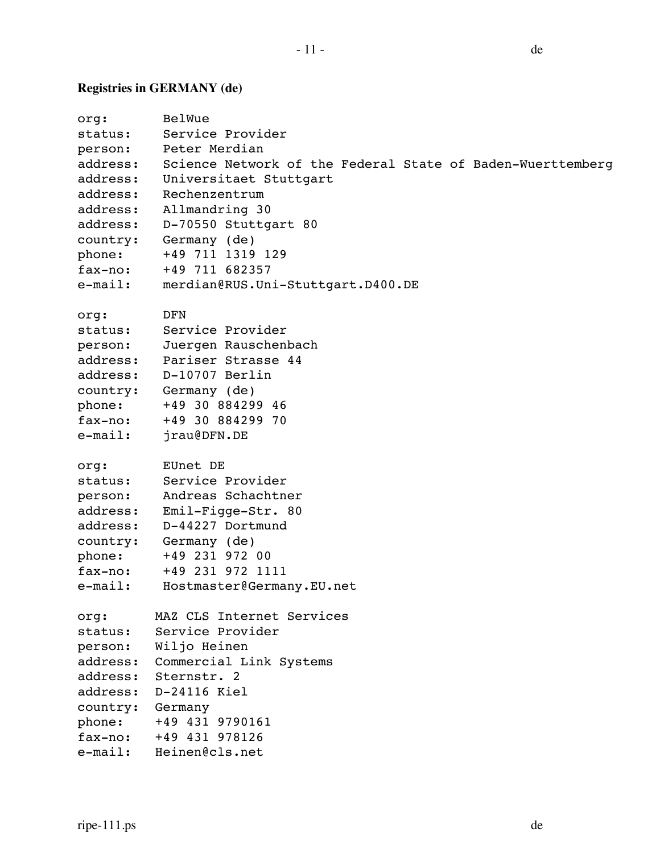# **Registries in GERMANY (de)**

| org:       | BelWue                                                     |
|------------|------------------------------------------------------------|
| status:    | Service Provider                                           |
| person:    | Peter Merdian                                              |
| address:   | Science Network of the Federal State of Baden-Wuerttemberg |
| address:   | Universitaet Stuttgart                                     |
| address:   | Rechenzentrum                                              |
| address:   | Allmandring 30                                             |
| address:   | D-70550 Stuttgart 80                                       |
| country:   | Germany (de)                                               |
| phone:     | +49 711 1319 129                                           |
| fax-no:    | +49 711 682357                                             |
| $e$ -mail: | merdian@RUS.Uni-Stuttgart.D400.DE                          |
| org:       | DFN                                                        |
| status:    | Service Provider                                           |
| person:    | Juergen Rauschenbach                                       |
| address:   | Pariser Strasse 44                                         |
| address:   | D-10707 Berlin                                             |
| country:   | Germany (de)                                               |
| phone:     | +49 30 884299 46                                           |
| fax-no:    | +49 30 884299 70                                           |
| $e$ -mail: | jrau@DFN.DE                                                |
| org:       | EUnet DE                                                   |
| status:    | Service Provider                                           |
| person:    | Andreas Schachtner                                         |
| address:   | Emil-Figge-Str. 80                                         |
| address:   | D-44227 Dortmund                                           |
| country:   | Germany (de)                                               |
| phone:     | +49 231 972 00                                             |
| $fax-no:$  | +49 231 972 1111                                           |
| $e$ -mail: | Hostmaster@Germany.EU.net                                  |
| org:       | MAZ CLS Internet Services                                  |
| status:    | Service Provider                                           |
| person:    | Wiljo Heinen                                               |
| address:   | Commercial Link Systems                                    |
| address:   | Sternstr. 2                                                |
| address:   | D-24116 Kiel                                               |
| country:   | Germany                                                    |
| phone:     | +49 431 9790161                                            |
| fax-no:    | +49 431 978126                                             |
| e-mail:    | Heinen@cls.net                                             |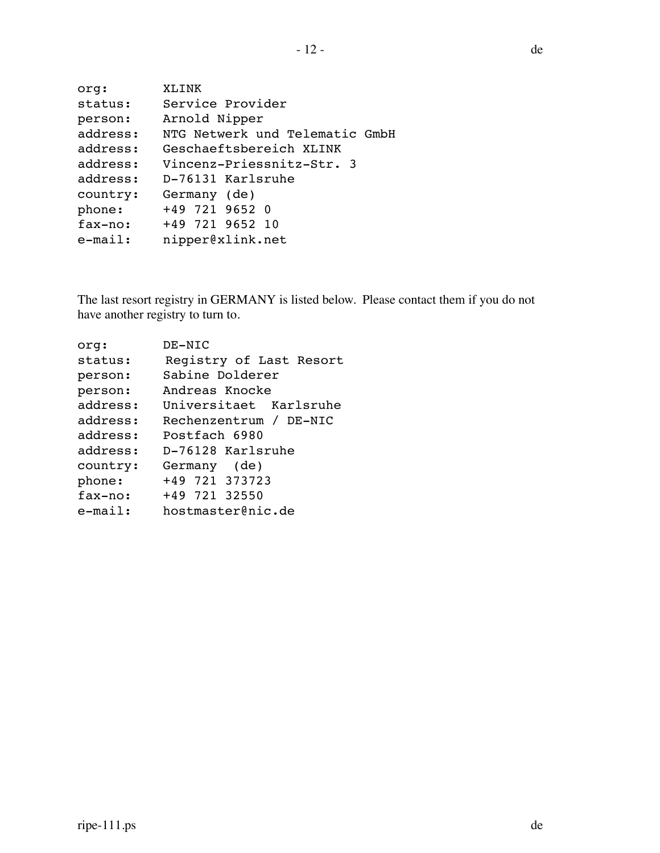| org:     | XLINK                          |
|----------|--------------------------------|
| status:  | Service Provider               |
| person:  | Arnold Nipper                  |
| address: | NTG Netwerk und Telematic GmbH |
| address: | Geschaeftsbereich XLINK        |
| address: | Vincenz-Priessnitz-Str. 3      |
| address: | D-76131 Karlsruhe              |
| country: | Germany (de)                   |
| phone:   | +49 721 9652 0                 |
| fax-no:  | +49 721 9652 10                |
| e-mail:  | nipper@xlink.net               |
|          |                                |

The last resort registry in GERMANY is listed below. Please contact them if you do not have another registry to turn to.

| orq:       | DE-NIC                  |
|------------|-------------------------|
| status:    | Registry of Last Resort |
| person:    | Sabine Dolderer         |
| person:    | Andreas Knocke          |
| address:   | Universitaet Karlsruhe  |
| address:   | Rechenzentrum / DE-NIC  |
| address:   | Postfach 6980           |
| address:   | D-76128 Karlsruhe       |
| country:   | Germany (de)            |
| phone:     | +49 721 373723          |
| fax-no:    | +49 721 32550           |
| $e$ -mail: | hostmaster@nic.de       |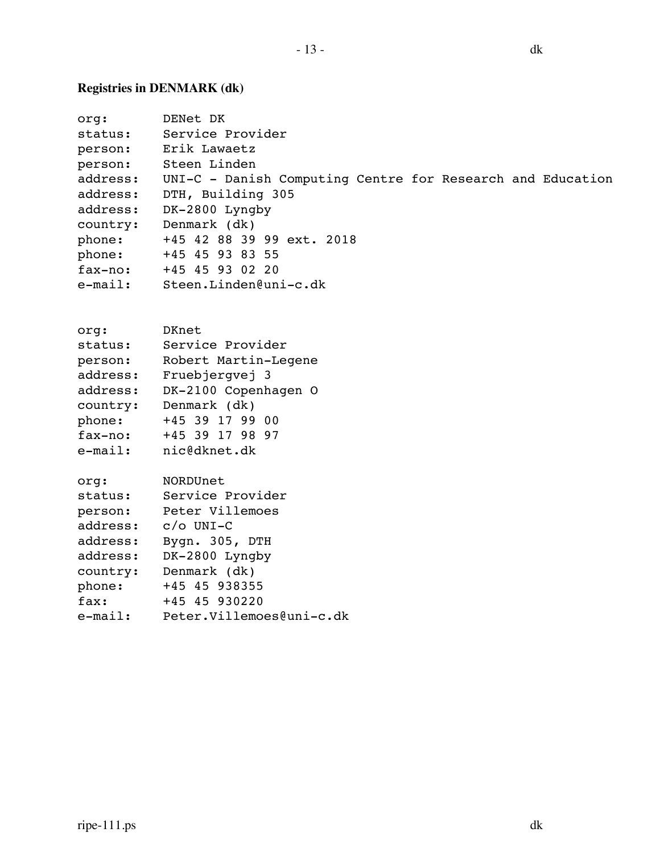# **Registries in DENMARK (dk)**

| org:       | DENet DK                                                   |
|------------|------------------------------------------------------------|
| status:    | Service Provider                                           |
| person:    | Erik Lawaetz                                               |
| person:    | Steen Linden                                               |
| address:   | UNI-C - Danish Computing Centre for Research and Education |
| address:   | DTH, Building 305                                          |
| address:   | DK-2800 Lyngby                                             |
| country:   | Denmark (dk)                                               |
| phone:     | +45 42 88 39 99 ext. 2018                                  |
| phone:     | +45 45 93 83 55                                            |
| fax-no:    | +45 45 93 02 20                                            |
| $e$ -mail: | Steen.Linden@uni-c.dk                                      |
| org:       | DKnet                                                      |
| status:    | Service Provider                                           |
| person:    | Robert Martin-Legene                                       |
| address:   | Fruebjergvej 3                                             |
| address:   | DK-2100 Copenhagen O                                       |
| country:   | Denmark (dk)                                               |
| phone:     | +45 39 17 99 00                                            |
| fax-no:    | +45 39 17 98 97                                            |
| $e$ -mail: | nic@dknet.dk                                               |
| org:       | NORDUnet                                                   |
| status:    | Service Provider                                           |
| person:    | Peter Villemoes                                            |
| address:   | $c/O$ UNI-C                                                |
| address:   | Bygn. 305, DTH                                             |
| address:   | DK-2800 Lyngby                                             |
| country:   | Denmark (dk)                                               |
| phone:     | +45 45 938355                                              |
| fax:       | +45 45 930220                                              |
| $e$ -mail: | Peter.Villemoes@uni-c.dk                                   |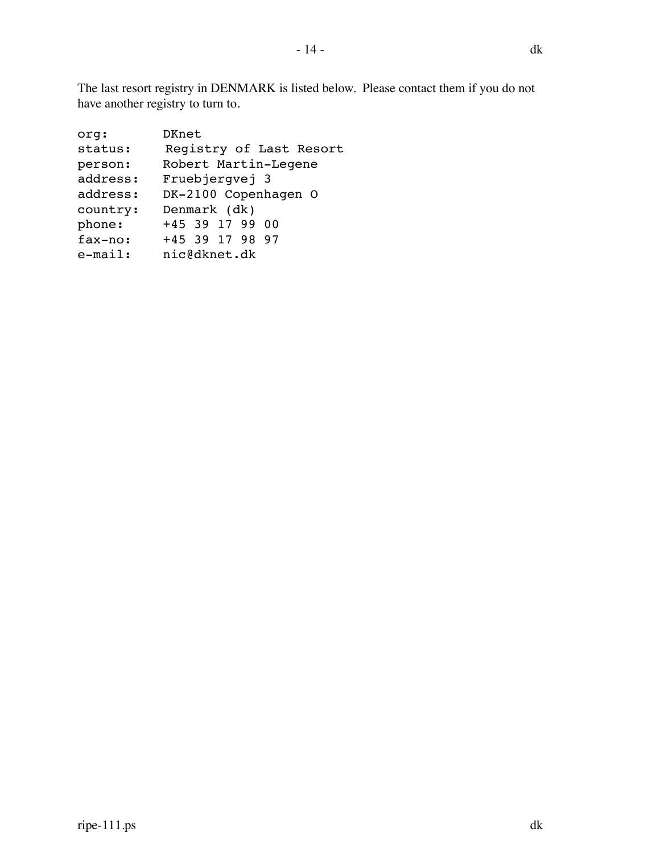- 14 - dk

The last resort registry in DENMARK is listed below. Please contact them if you do not have another registry to turn to.

| org:       | DKnet                   |
|------------|-------------------------|
| status:    | Registry of Last Resort |
| person:    | Robert Martin-Legene    |
| address:   | Fruebjerqvej 3          |
| address:   | DK-2100 Copenhagen O    |
| country:   | Denmark (dk)            |
| phone:     | +45 39 17 99 00         |
| fax-no:    | +45 39 17 98 97         |
| $e$ -mail: | nic@dknet.dk            |
|            |                         |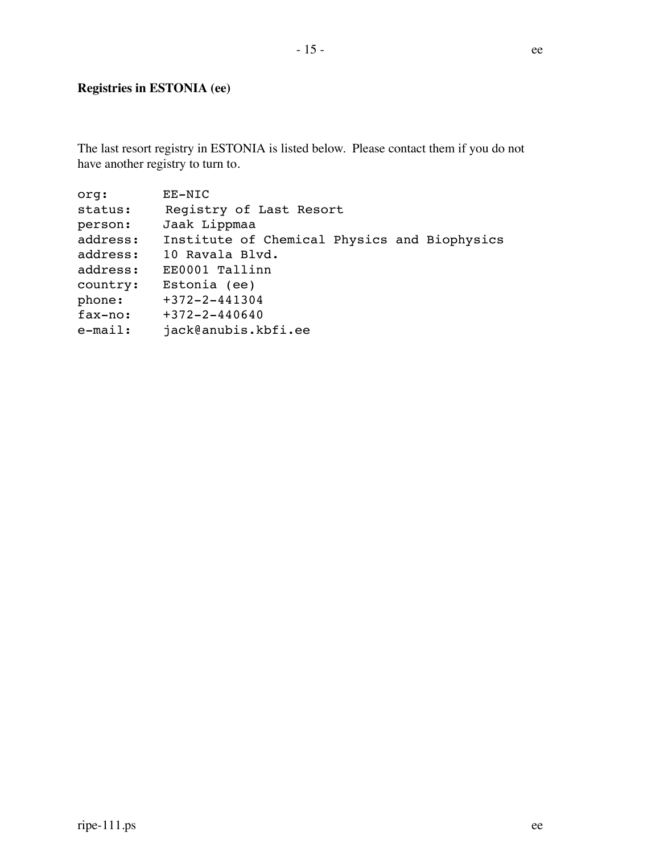#### **Registries in ESTONIA (ee)**

The last resort registry in ESTONIA is listed below. Please contact them if you do not have another registry to turn to.

org: EE-NIC status: Registry of Last Resort person: Jaak Lippmaa address: Institute of Chemical Physics and Biophysics address: 10 Ravala Blvd. address: EE0001 Tallinn country: Estonia (ee) phone: +372-2-441304 fax-no: +372-2-440640 e-mail: jack@anubis.kbfi.ee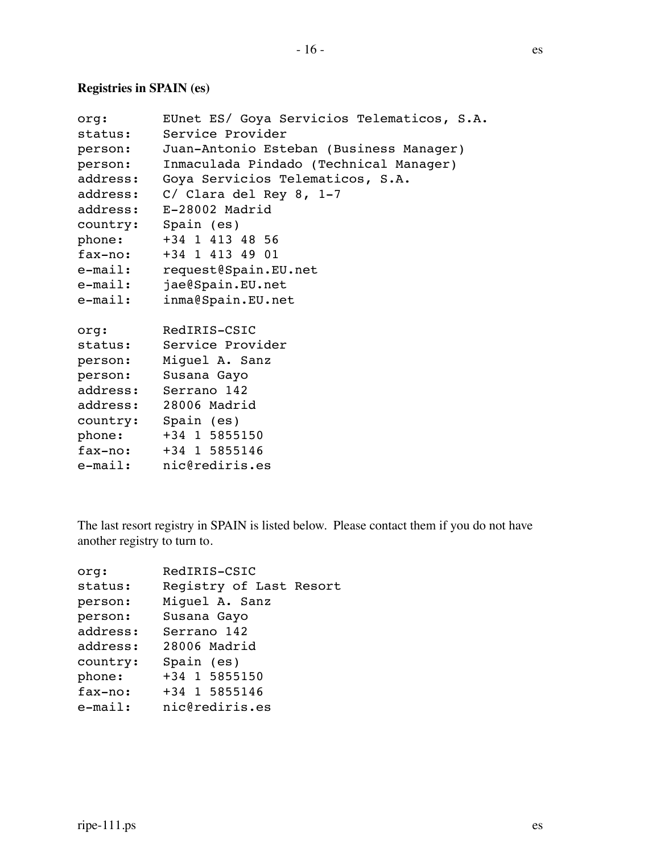### **Registries in SPAIN (es)**

| org:                | EUnet ES/ Goya Servicios Telematicos, S.A. |
|---------------------|--------------------------------------------|
| status:             | Service Provider                           |
| person:             | Juan-Antonio Esteban (Business Manager)    |
| person:             | Inmaculada Pindado (Technical Manager)     |
| address:            | Goya Servicios Telematicos, S.A.           |
| address:            | C/ Clara del Rey 8, 1-7                    |
| address:            | E-28002 Madrid                             |
| country: Spain (es) |                                            |
| phone:              | +34 1 413 48 56                            |
| fax-no:             | +34 1 413 49 01                            |
| $e$ -mail:          | request@Spain.EU.net                       |
| $e$ -mail:          | jae@Spain.EU.net                           |
| e-mail:             | inma@Spain.EU.net                          |
| org:                | RedIRIS-CSIC                               |
|                     | status: Service Provider                   |
|                     | person: Miguel A. Sanz                     |
|                     | person: Susana Gayo                        |
|                     | address: Serrano 142                       |
|                     | address: 28006 Madrid                      |
| country: Spain (es) |                                            |
|                     | phone: +34 1 5855150                       |
|                     | $fax-no:$ $+34$ 1 5855146                  |
| e-mail:             | nic@rediris.es                             |

The last resort registry in SPAIN is listed below. Please contact them if you do not have another registry to turn to.

| org:       | RedIRIS-CSIC            |
|------------|-------------------------|
| status:    | Registry of Last Resort |
| person:    | Miquel A. Sanz          |
| person:    | Susana Gayo             |
| address:   | Serrano 142             |
| address:   | 28006 Madrid            |
| country:   | Spain (es)              |
| phone:     | +34 1 5855150           |
| fax-no:    | +34 1 5855146           |
| $e$ -mail: | nic@rediris.es          |
|            |                         |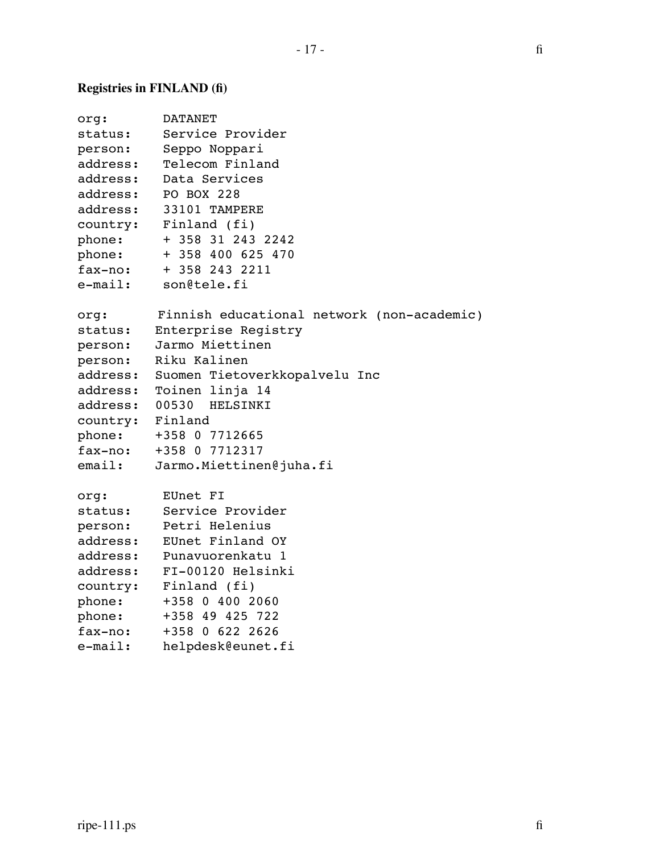# **Registries in FINLAND (fi)**

| org:             | <b>DATANET</b>                             |
|------------------|--------------------------------------------|
| status:          | Service Provider                           |
| person:          | Seppo Noppari                              |
| address:         | Telecom Finland                            |
| address:         | Data Services                              |
| address:         | PO BOX 228                                 |
| address:         | 33101 TAMPERE                              |
| country:         | Finland (fi)                               |
| phone:           | + 358 31 243 2242                          |
| phone:           | + 358 400 625 470                          |
| fax-no:          | + 358 243 2211                             |
| e-mail:          | son@tele.fi                                |
| org:             | Finnish educational network (non-academic) |
| status:          | Enterprise Registry                        |
| person:          | Jarmo Miettinen                            |
| person:          | Riku Kalinen                               |
| address:         | Suomen Tietoverkkopalvelu Inc              |
| address:         | Toinen linja 14                            |
| address:         | 00530 HELSINKI                             |
| country: Finland |                                            |
| phone:           | +358 0 7712665                             |
| fax-no:          | +358 0 7712317                             |
| email:           | Jarmo.Miettinen@juha.fi                    |
| org:             | EUnet FI                                   |
| status:          | Service Provider                           |
| person:          | Petri Helenius                             |
| address:         | EUnet Finland OY                           |
| address:         | Punavuorenkatu 1                           |
| address:         | FI-00120 Helsinki                          |
| country:         | Finland (fi)                               |
| phone:           | +358 0 400 2060                            |
| phone:           | +358 49 425 722                            |
| fax-no:          | +358 0 622 2626                            |
| $e$ -mail:       | helpdesk@eunet.fi                          |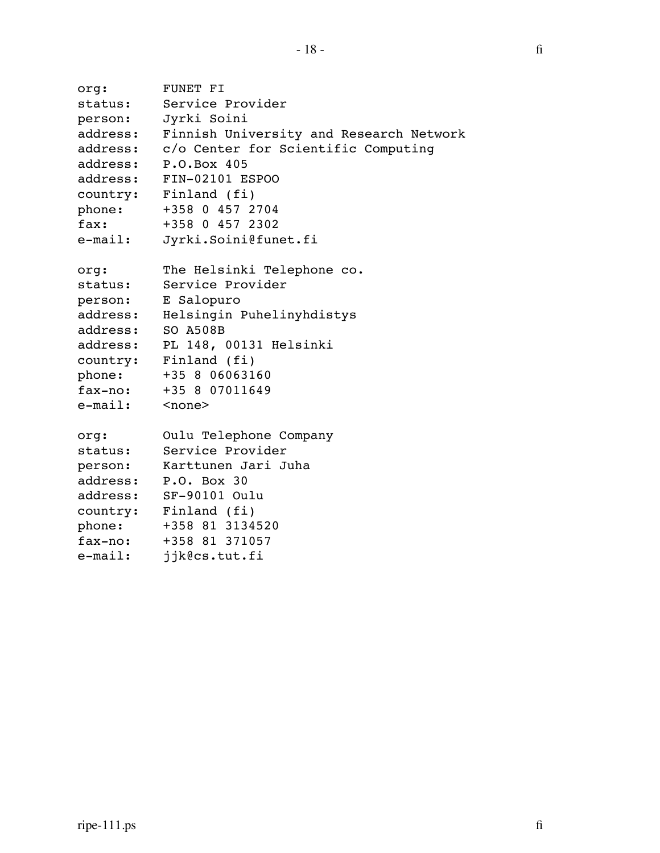```
org: FUNET FI
status: Service Provider
person: Jyrki Soini
address: Finnish University and Research Network
address: c/o Center for Scientific Computing
address: P.O.Box 405
address: FIN-02101 ESPOO
country: Finland (fi)
phone: +358 0 457 2704
fax: +358 0 457 2302
e-mail: Jyrki.Soini@funet.fi
org: The Helsinki Telephone co.
status: Service Provider
person: E Salopuro
address: Helsingin Puhelinyhdistys
address: SO A508B
address: PL 148, 00131 Helsinki
country: Finland (fi)
phone: +35 8 06063160
fax-no: +35 8 07011649
e-mail: <none>
org: Oulu Telephone Company
status: Service Provider
person: Karttunen Jari Juha
address: P.O. Box 30
address: SF-90101 Oulu
country: Finland (fi)
phone: +358 81 3134520
fax-no: +358 81 371057
e-mail: jjk@cs.tut.fi
```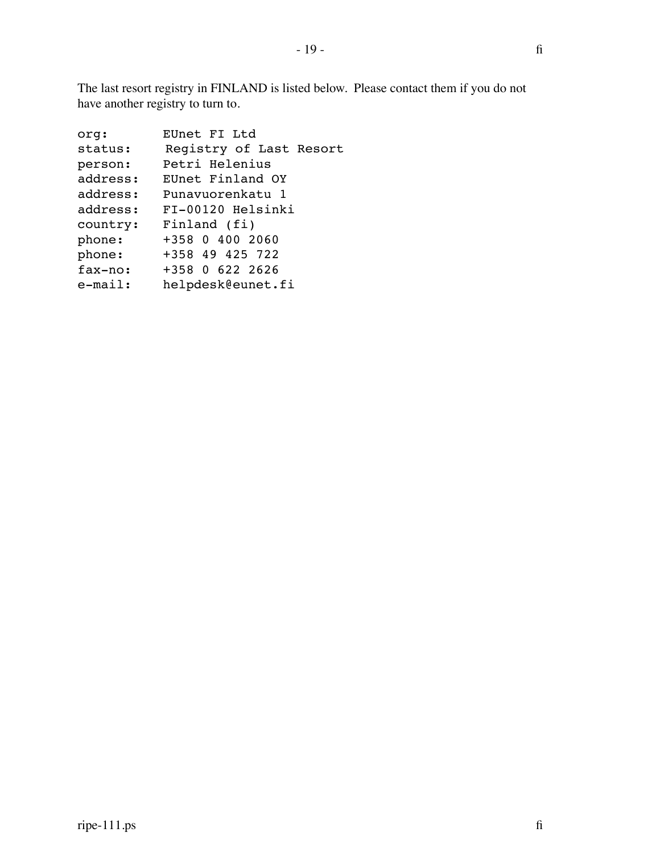The last resort registry in FINLAND is listed below. Please contact them if you do not have another registry to turn to.

| EUnet FI Ltd            |
|-------------------------|
| Registry of Last Resort |
| Petri Helenius          |
| EUnet Finland OY        |
| Punavuorenkatu 1        |
| FI-00120 Helsinki       |
| Finland (fi)            |
| +358 0 400 2060         |
| +358 49 425 722         |
| +358 0 622 2626         |
| helpdesk@eunet.fi       |
|                         |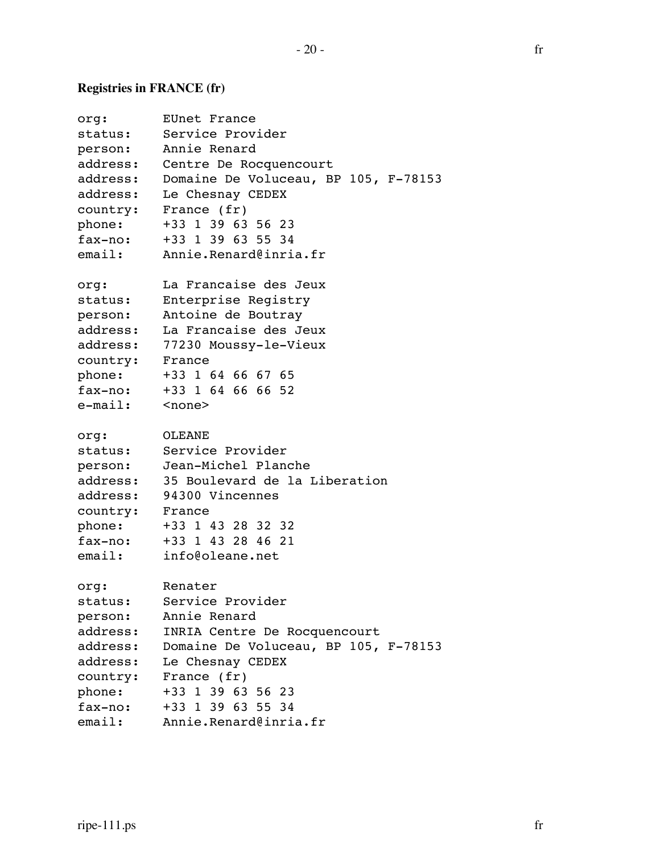# **Registries in FRANCE (fr)**

| org:                  | EUnet France                                  |
|-----------------------|-----------------------------------------------|
| status:               | Service Provider                              |
|                       | person: Annie Renard                          |
|                       | address: Centre De Rocquencourt               |
| address:              | Domaine De Voluceau, BP 105, F-78153          |
|                       | address: Le Chesnay CEDEX                     |
|                       | country: France (fr)                          |
| phone:                | +33 1 39 63 56 23                             |
| fax-no:               | +33 1 39 63 55 34                             |
| email:                | Annie.Renard@inria.fr                         |
| org:                  | La Francaise des Jeux                         |
| status:               | Enterprise Registry                           |
| person:               | Antoine de Boutray                            |
| address:              | La Francaise des Jeux                         |
|                       | address: 77230 Moussy-le-Vieux                |
| country:              | France                                        |
|                       | phone: +33 1 64 66 67 65                      |
|                       | fax-no: +33 1 64 66 66 52                     |
| e-mail: <none></none> |                                               |
| org:                  | OLEANE                                        |
| status:               | Service Provider                              |
|                       | person: Jean-Michel Planche                   |
|                       | address: 35 Boulevard de la Liberation        |
|                       | address: 94300 Vincennes                      |
| country: France       |                                               |
| phone:                | +33 1 43 28 32 32                             |
|                       | fax-no: +33 1 43 28 46 21                     |
|                       | email: info@oleane.net                        |
| org:                  | Renater                                       |
| status:               | Service Provider                              |
| person:               | Annie Renard                                  |
| address:              | INRIA Centre De Rocquencourt                  |
|                       | address: Domaine De Voluceau, BP 105, F-78153 |
|                       | address: Le Chesnay CEDEX                     |
|                       | country: France (fr)                          |
| phone:                | +33 1 39 63 56 23                             |
| fax-no:               | +33 1 39 63 55 34                             |
|                       | email: Annie.Renard@inria.fr                  |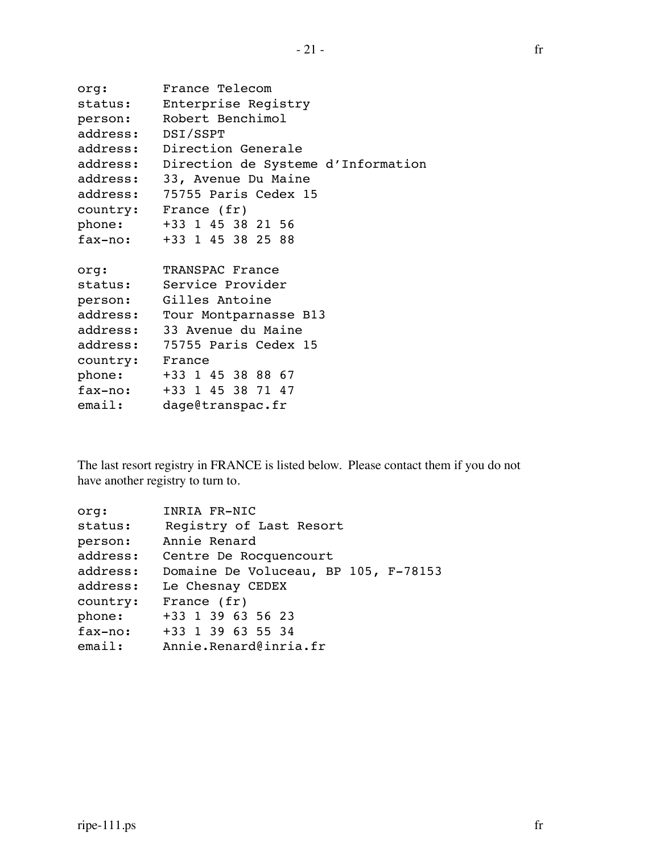```
org: France Telecom
status: Enterprise Registry
person: Robert Benchimol
address: DSI/SSPT
address: Direction Generale
address: Direction de Systeme d'Information
address: 33, Avenue Du Maine
address: 75755 Paris Cedex 15
country: France (fr)
phone: +33 1 45 38 21 56
fax-no: +33 1 45 38 25 88
org: TRANSPAC France
status: Service Provider
person: Gilles Antoine
address: Tour Montparnasse B13
address: 33 Avenue du Maine
address: 75755 Paris Cedex 15
country: France
phone: +33 1 45 38 88 67
fax-no: +33 1 45 38 71 47
email: dage@transpac.fr
```
The last resort registry in FRANCE is listed below. Please contact them if you do not have another registry to turn to.

| orq:     | INRIA FR-NIC                         |
|----------|--------------------------------------|
| status:  | Registry of Last Resort              |
| person:  | Annie Renard                         |
| address: | Centre De Rocquencourt               |
| address: | Domaine De Voluceau, BP 105, F-78153 |
| address: | Le Chesnay CEDEX                     |
| country: | France $(fr)$                        |
| phone:   | +33 1 39 63 56 23                    |
| fax-no:  | +33 1 39 63 55 34                    |
| email:   | Annie.Renard@inria.fr                |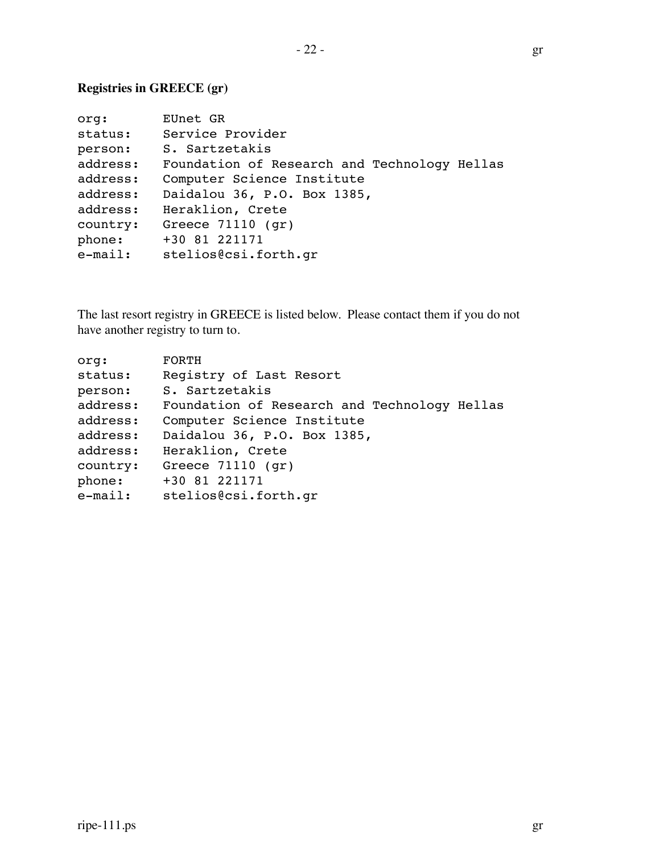### **Registries in GREECE (gr)**

| org:       | EUnet GR                                     |
|------------|----------------------------------------------|
| status:    | Service Provider                             |
| person:    | S. Sartzetakis                               |
| address:   | Foundation of Research and Technology Hellas |
| address:   | Computer Science Institute                   |
| address:   | Daidalou 36, P.O. Box 1385,                  |
| address:   | Heraklion, Crete                             |
| country:   | Greece $71110$ (qr)                          |
| phone:     | +30 81 221171                                |
| $e$ -mail: | stelios@csi.forth.gr                         |

The last resort registry in GREECE is listed below. Please contact them if you do not have another registry to turn to.

| org:       | FORTH                                        |
|------------|----------------------------------------------|
| status:    | Registry of Last Resort                      |
| person:    | S. Sartzetakis                               |
| address:   | Foundation of Research and Technology Hellas |
| address:   | Computer Science Institute                   |
| address:   | Daidalou 36, P.O. Box 1385,                  |
| address:   | Heraklion, Crete                             |
| country:   | Greece $71110$ (qr)                          |
| phone:     | +30 81 221171                                |
| $e$ -mail: | stelios@csi.forth.gr                         |
|            |                                              |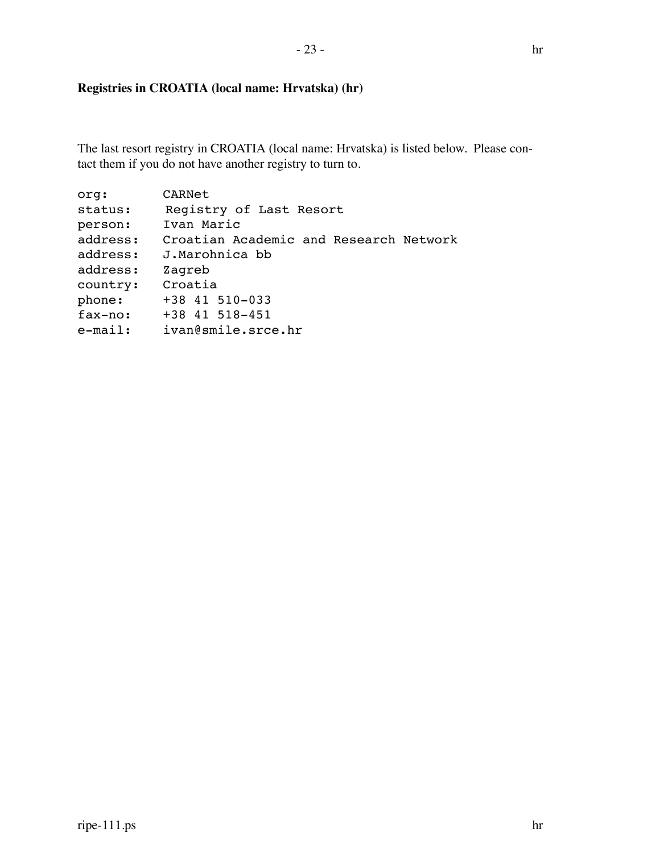#### **Registries in CROATIA (local name: Hrvatska) (hr)**

The last resort registry in CROATIA (local name: Hrvatska) is listed below. Please contact them if you do not have another registry to turn to.

| org:       | CARNet                                 |
|------------|----------------------------------------|
| status:    | Registry of Last Resort                |
| person:    | Ivan Maric                             |
| address:   | Croatian Academic and Research Network |
| address:   | J.Marohnica bb                         |
| address:   | Zagreb                                 |
| country:   | Croatia                                |
| phone:     | +38 41 510-033                         |
| fax-no:    | +38 41 518-451                         |
| $e$ -mail: | ivan@smile.srce.hr                     |
|            |                                        |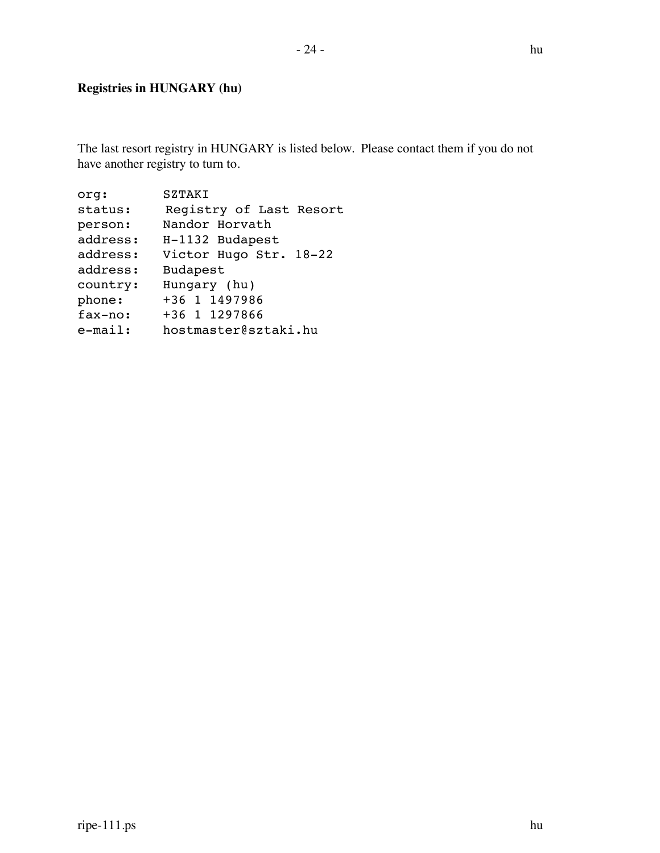## **Registries in HUNGARY (hu)**

The last resort registry in HUNGARY is listed below. Please contact them if you do not have another registry to turn to.

| <b>SZTAKT</b>           |
|-------------------------|
| Registry of Last Resort |
| Nandor Horvath          |
| H-1132 Budapest         |
| Victor Hugo Str. 18-22  |
| Budapest                |
| Hungary (hu)            |
| +36 1 1497986           |
| +36 1 1297866           |
| hostmaster@sztaki.hu    |
|                         |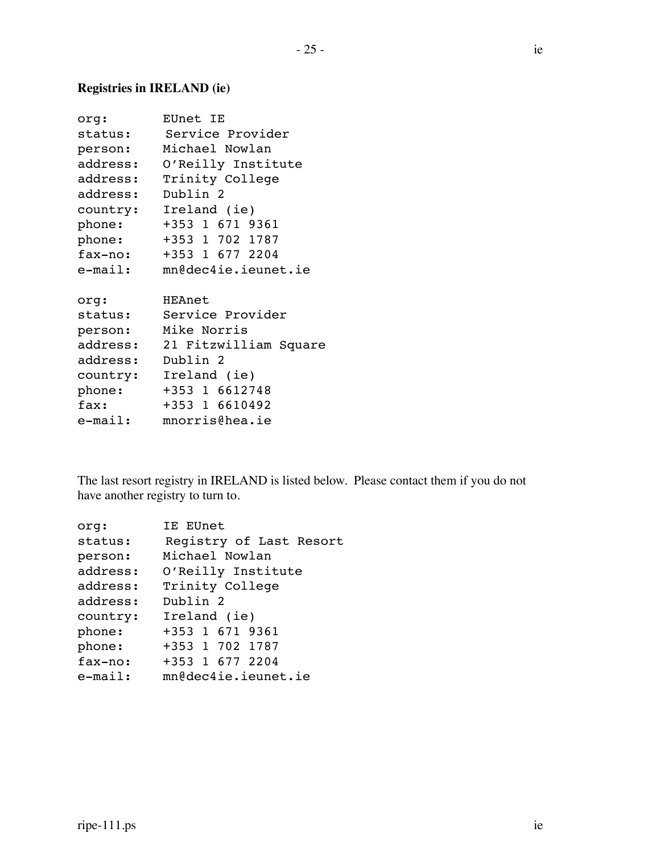### **Registries in IRELAND (ie)**

| org:     | EUnet IE                       |
|----------|--------------------------------|
|          | status: Service Provider       |
|          | person: Michael Nowlan         |
| address: | O'Reilly Institute             |
| address: | Trinity College                |
| address: | Dublin 2                       |
|          | country: Ireland (ie)          |
| phone:   | +353 1 671 9361                |
| phone:   | +353 1 702 1787                |
|          | fax-no: +353 1 677 2204        |
| e-mail:  | mn@dec4ie.ieunet.ie            |
|          |                                |
| org:     | HEAnet                         |
| status:  | Service Provider               |
| person:  | Mike Norris                    |
|          | address: 21 Fitzwilliam Square |
| address: | Dublin 2                       |
| country: | Ireland (ie)                   |
| phone:   | +353 1 6612748                 |
| fax:     | +353 1 6610492                 |
| e-mail:  | mnorris@hea.ie                 |

The last resort registry in IRELAND is listed below. Please contact them if you do not have another registry to turn to.

| orq:       | IE EUnet                |
|------------|-------------------------|
| status:    | Registry of Last Resort |
| person:    | Michael Nowlan          |
| address:   | O'Reilly Institute      |
| address:   | Trinity College         |
| address:   | Dublin 2                |
| country:   | Ireland (ie)            |
| phone:     | +353 1 671 9361         |
| phone:     | +353 1 702 1787         |
| fax-no:    | +353 1 677 2204         |
| $e$ -mail: | mn@dec4ie.ieunet.ie     |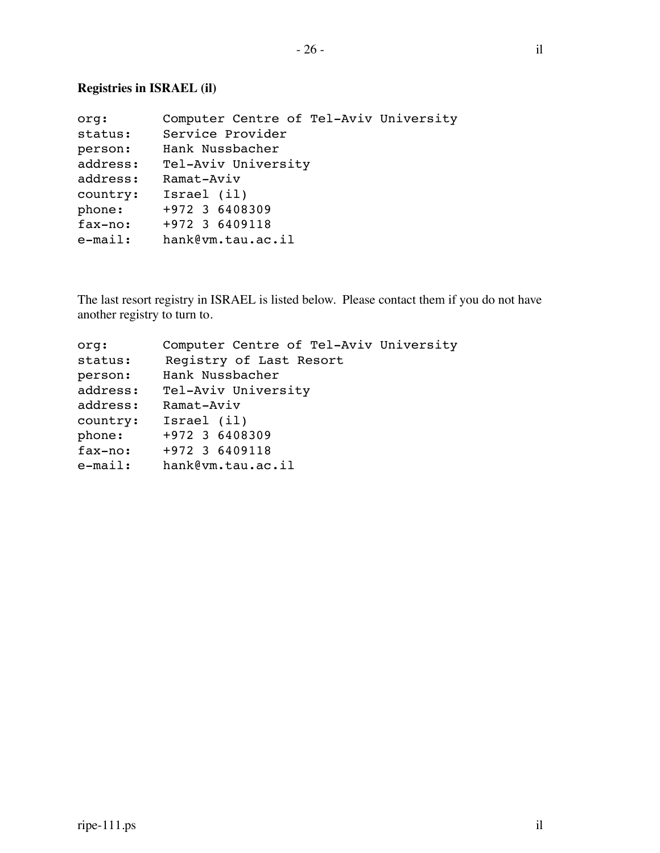| org:       | Computer Centre of Tel-Aviv University |
|------------|----------------------------------------|
| status:    | Service Provider                       |
| person:    | Hank Nussbacher                        |
| address:   | Tel-Aviv University                    |
| address:   | Ramat-Aviv                             |
| country:   | Israel (il)                            |
| phone:     | +972 3 6408309                         |
| fax-no:    | +972 3 6409118                         |
| $e$ -mail: | hank@vm.tau.ac.il                      |

The last resort registry in ISRAEL is listed below. Please contact them if you do not have another registry to turn to.

| org:       | Computer Centre of Tel-Aviv University |
|------------|----------------------------------------|
| status:    | Registry of Last Resort                |
| person:    | Hank Nussbacher                        |
| address:   | Tel-Aviv University                    |
| address:   | Ramat-Aviv                             |
| country:   | Israel (il)                            |
| phone:     | +972 3 6408309                         |
| fax-no:    | +972 3 6409118                         |
| $e$ -mail: | hank@vm.tau.ac.il                      |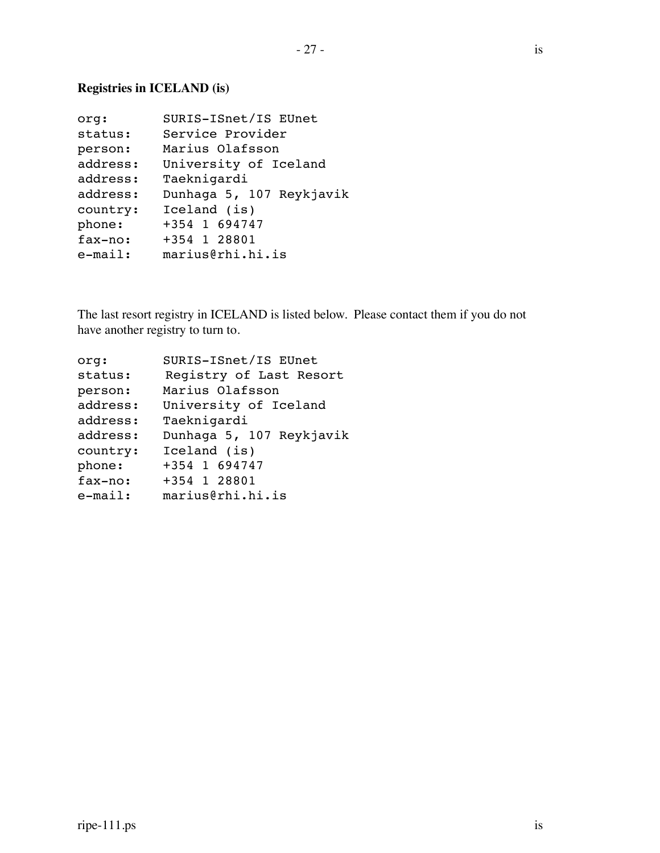### **Registries in ICELAND (is)**

| org:       | SURIS-ISnet/IS EUnet     |
|------------|--------------------------|
| status:    | Service Provider         |
| person:    | Marius Olafsson          |
| address:   | University of Iceland    |
| address:   | Taeknigardi              |
| address:   | Dunhaga 5, 107 Reykjavik |
| country:   | Iceland (is)             |
| phone:     | +354 1 694747            |
| fax-no:    | +354 1 28801             |
| $e$ -mail: | marius@rhi.hi.is         |

The last resort registry in ICELAND is listed below. Please contact them if you do not have another registry to turn to.

| org:       | SURIS-ISnet/IS EUnet     |
|------------|--------------------------|
| status:    | Registry of Last Resort  |
| person:    | Marius Olafsson          |
| address:   | University of Iceland    |
| address:   | Taeknigardi              |
| address:   | Dunhaga 5, 107 Reykjavik |
| country:   | Iceland (is)             |
| phone:     | +354 1 694747            |
| fax-no:    | +354 1 28801             |
| $e$ -mail: | marius@rhi.hi.is         |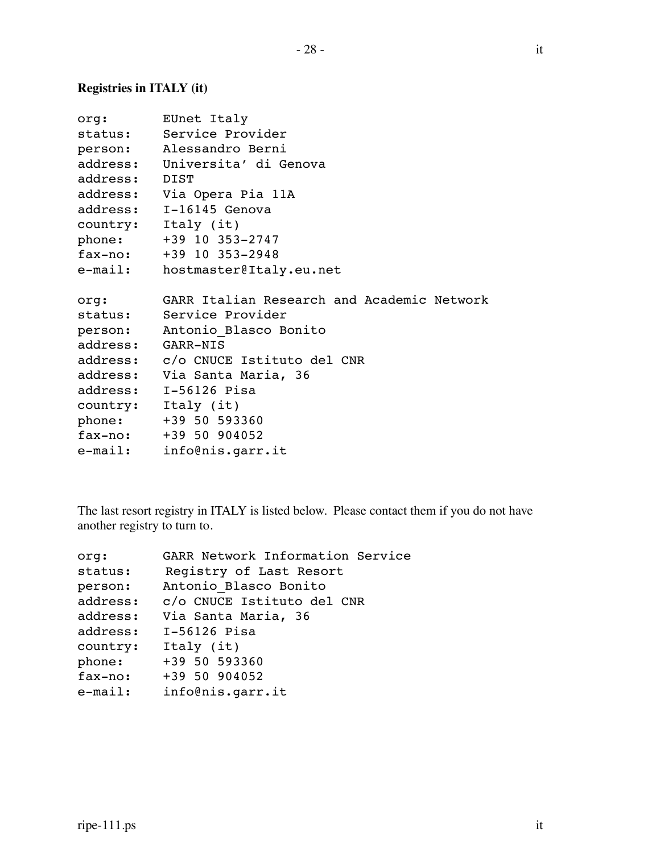### **Registries in ITALY (it)**

|               | org: EUnet Italy                           |
|---------------|--------------------------------------------|
|               | status: Service Provider                   |
|               | person: Alessandro Berni                   |
|               | address: Universita' di Genova             |
| address: DIST |                                            |
|               | address: Via Opera Pia 11A                 |
|               | address: I-16145 Genova                    |
|               | country: Italy (it)                        |
|               | phone: +39 10 353-2747                     |
|               | fax-no: +39 10 353-2948                    |
|               | e-mail: hostmaster@Italy.eu.net            |
| org:          | GARR Italian Research and Academic Network |
|               | status: Service Provider                   |
|               | person: Antonio Blasco Bonito              |
|               | address: GARR-NIS                          |
|               | address: c/o CNUCE Istituto del CNR        |
|               | address: Via Santa Maria, 36               |
|               | address: I-56126 Pisa                      |
|               | country: Italy (it)                        |
|               | phone: +39 50 593360                       |
|               | $fax-no:$ +39 50 904052                    |
|               | e-mail: info@nis.garr.it                   |

The last resort registry in ITALY is listed below. Please contact them if you do not have another registry to turn to.

| org:       | GARR Network Information Service |
|------------|----------------------------------|
| status:    | Registry of Last Resort          |
| person:    | Antonio Blasco Bonito            |
| address:   | c/o CNUCE Istituto del CNR       |
| address:   | Via Santa Maria, 36              |
| address:   | I-56126 Pisa                     |
| country:   | Italy (it)                       |
| phone:     | +39 50 593360                    |
| fax-no:    | +39 50 904052                    |
| $e$ -mail: | info@nis.garr.it                 |
|            |                                  |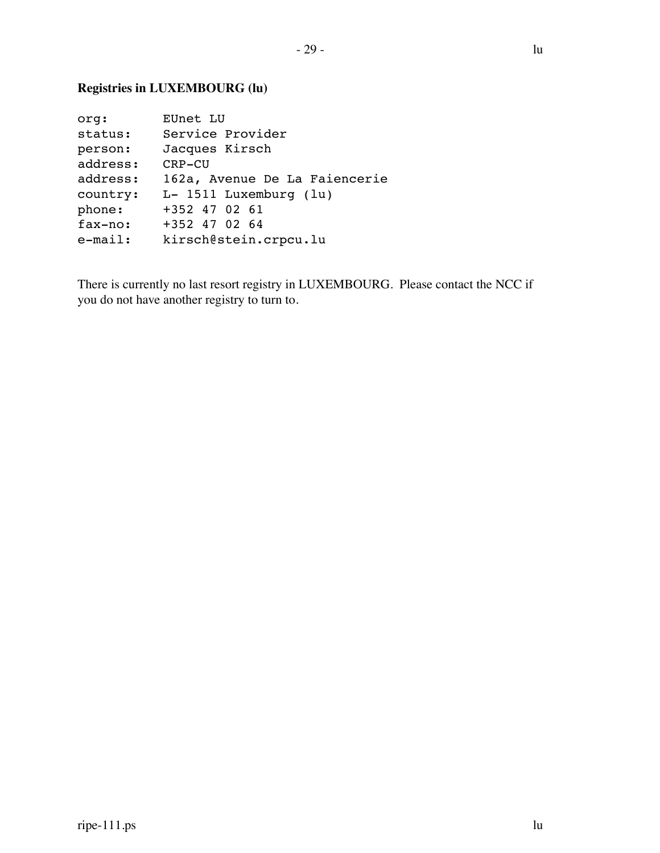### **Registries in LUXEMBOURG (lu)**

| org:       | EUnet LU                      |
|------------|-------------------------------|
| status:    | Service Provider              |
| person:    | Jacques Kirsch                |
| address:   | CRP-CU                        |
| address:   | 162a, Avenue De La Faiencerie |
| country:   | $L-$ 1511 Luxemburg (lu)      |
| phone:     | +352 47 02 61                 |
| fax-no:    | $+352$ 47 02 64               |
| $e$ -mail: | kirsch@stein.crpcu.lu         |

There is currently no last resort registry in LUXEMBOURG. Please contact the NCC if you do not have another registry to turn to.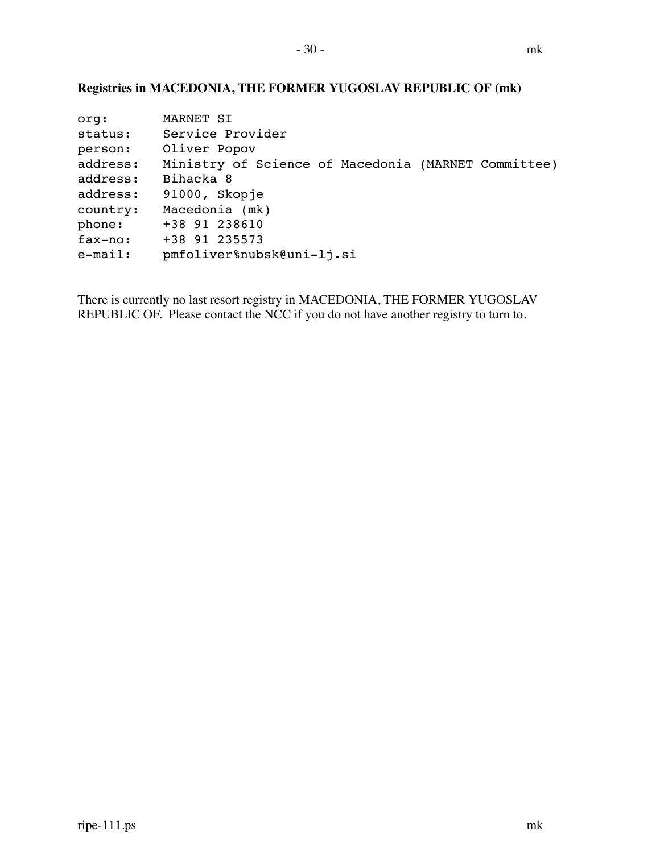### **Registries in MACEDONIA, THE FORMER YUGOSLAV REPUBLIC OF (mk)**

| MARNET SI                                           |
|-----------------------------------------------------|
| Service Provider                                    |
| Oliver Popov                                        |
| Ministry of Science of Macedonia (MARNET Committee) |
| Bihacka 8                                           |
| 91000, Skopje                                       |
| Macedonia (mk)                                      |
| +38 91 238610                                       |
| +38 91 235573                                       |
| pmfoliver%nubsk@uni-lj.si                           |
|                                                     |

There is currently no last resort registry in MACEDONIA, THE FORMER YUGOSLAV REPUBLIC OF. Please contact the NCC if you do not have another registry to turn to.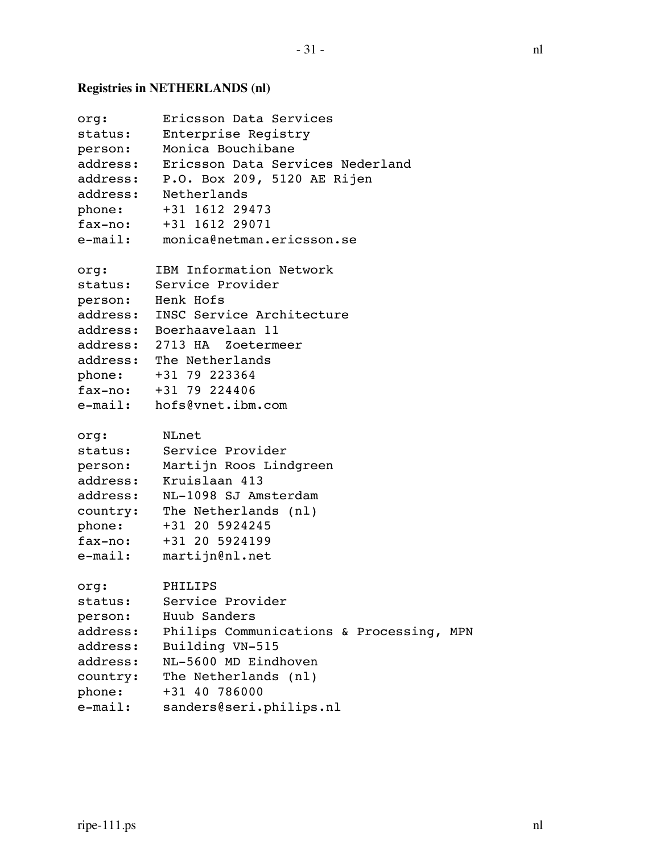## **Registries in NETHERLANDS (nl)**

| org:       | Ericsson Data Services                    |
|------------|-------------------------------------------|
| status:    | Enterprise Registry                       |
| person:    | Monica Bouchibane                         |
|            | address: Ericsson Data Services Nederland |
|            | address: P.O. Box 209, 5120 AE Rijen      |
|            | address: Netherlands                      |
| phone:     | +31 1612 29473                            |
|            | fax-no: +31 1612 29071                    |
| e-mail:    | monica@netman.ericsson.se                 |
|            |                                           |
| org:       | IBM Information Network                   |
| status:    | Service Provider                          |
|            | person: Henk Hofs                         |
|            | address: INSC Service Architecture        |
|            | address: Boerhaavelaan 11                 |
|            | address: 2713 HA Zoetermeer               |
|            | address: The Netherlands                  |
|            | phone: +31 79 223364                      |
|            | fax-no: +31 79 224406                     |
|            | e-mail: hofs@vnet.ibm.com                 |
|            |                                           |
| org:       | NLnet                                     |
| status:    | Service Provider                          |
| person:    | Martijn Roos Lindgreen                    |
| address:   | Kruislaan 413                             |
|            | address: NL-1098 SJ Amsterdam             |
|            | country: The Netherlands (nl)             |
| phone:     | +31 20 5924245                            |
| fax-no:    | +31 20 5924199                            |
| $e$ -mail: | martijn@nl.net                            |
| org:       | PHILIPS                                   |
| status:    | Service Provider                          |
| person:    | Huub Sanders                              |
| address:   | Philips Communications & Processing, MPN  |
| address:   | Building VN-515                           |
| address:   | NL-5600 MD Eindhoven                      |
| country:   | The Netherlands (nl)                      |
| phone:     | +31 40 786000                             |
| $e$ -mail: | sanders@seri.philips.nl                   |
|            |                                           |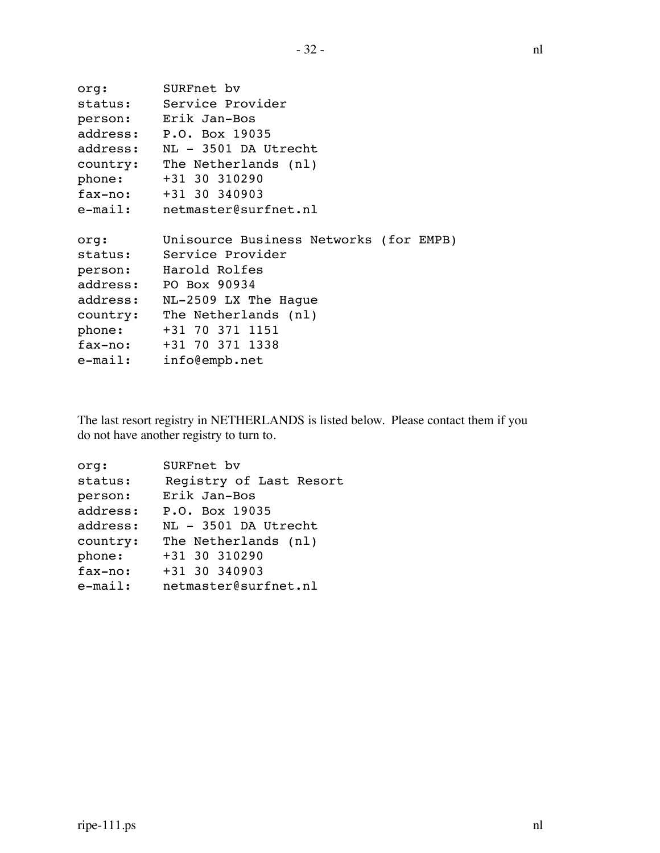```
org: SURFnet bv
status: Service Provider
person: Erik Jan-Bos
address: P.O. Box 19035
address: NL - 3501 DA Utrecht
country: The Netherlands (nl)
phone: +31 30 310290
fax-no: +31 30 340903
e-mail: netmaster@surfnet.nl
org: Unisource Business Networks (for EMPB)
status: Service Provider
person: Harold Rolfes
address: PO Box 90934
address: NL-2509 LX The Hague
country: The Netherlands (nl)
phone: +31 70 371 1151
fax-no: +31 70 371 1338
e-mail: info@empb.net
```
The last resort registry in NETHERLANDS is listed below. Please contact them if you do not have another registry to turn to.

| org:       | SURFnet bv              |
|------------|-------------------------|
| status:    | Registry of Last Resort |
| person:    | Erik Jan-Bos            |
| address:   | P.O. Box 19035          |
| address:   | NL - 3501 DA Utrecht    |
| country:   | The Netherlands (nl)    |
| phone:     | +31 30 310290           |
| fax-no:    | +31 30 340903           |
| $e$ -mail: | netmaster@surfnet.nl    |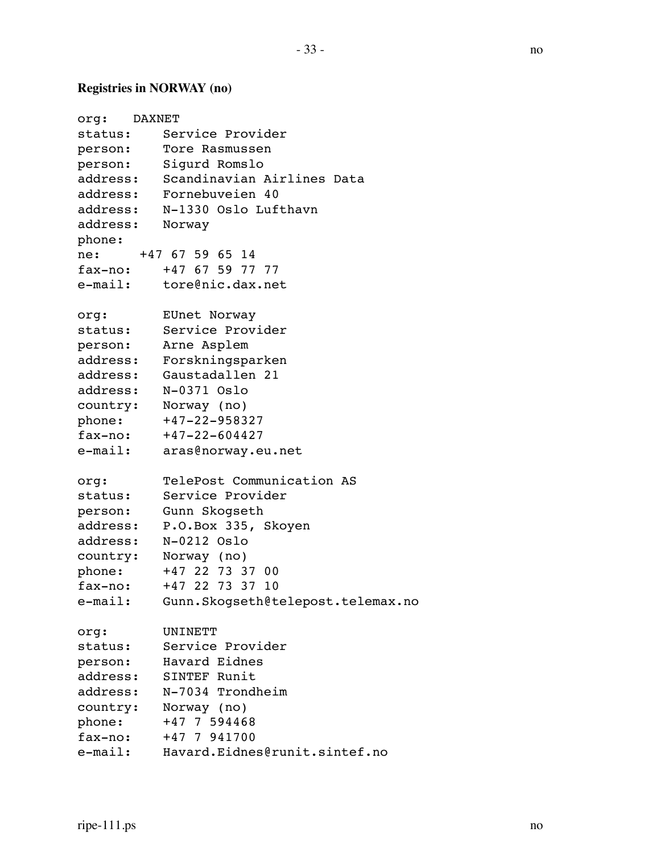# **Registries in NORWAY (no)**

| org: DAXNET     |                                     |
|-----------------|-------------------------------------|
| status:         | Service Provider                    |
|                 | person: Tore Rasmussen              |
|                 | person: Sigurd Romslo               |
|                 | address: Scandinavian Airlines Data |
|                 | address: Fornebuveien 40            |
|                 | address: N-1330 Oslo Lufthavn       |
| address: Norway |                                     |
| phone:          |                                     |
|                 | ne: +47 67 59 65 14                 |
|                 | fax-no: +47 67 59 77 77             |
|                 | e-mail: tore@nic.dax.net            |
| org:            | EUnet Norway                        |
|                 | status: Service Provider            |
|                 | person: Arne Asplem                 |
|                 | address: Forskningsparken           |
|                 | address: Gaustadallen 21            |
|                 | address: N-0371 Oslo                |
|                 | country: Norway (no)                |
| phone:          | +47-22-958327                       |
|                 | $fax-no:$ $+47-22-604427$           |
| e-mail:         | aras@norway.eu.net                  |
| org:            | TelePost Communication AS           |
| status:         | Service Provider                    |
|                 | person: Gunn Skogseth               |
| address:        | P.O.Box 335, Skoyen                 |
| address:        | N-0212 Oslo                         |
|                 | country: Norway (no)                |
| phone:          | +47 22 73 37 00                     |
| fax-no:         | +47 22 73 37 10                     |
| e-mail:         | Gunn.Skogseth@telepost.telemax.no   |
| org:            | UNINETT                             |
| status:         | Service Provider                    |
| person:         | Havard Eidnes                       |
| address:        | SINTEF Runit                        |
| address:        | N-7034 Trondheim                    |
| country:        | Norway (no)                         |
| phone:          | +47 7 594468                        |
| fax-no:         | +47 7 941700                        |
| e-mail:         | Havard.Eidnes@runit.sintef.no       |
|                 |                                     |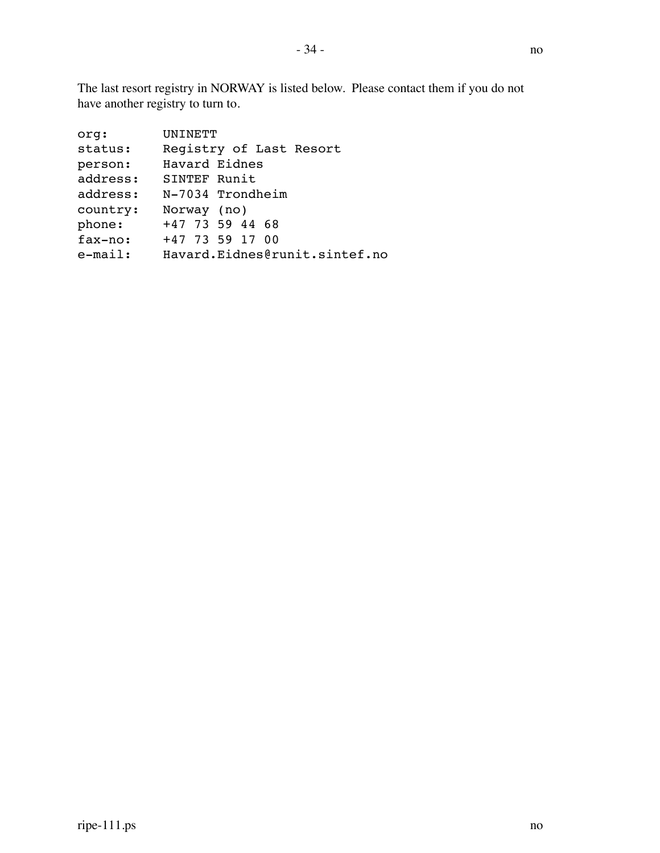The last resort registry in NORWAY is listed below. Please contact them if you do not have another registry to turn to.

| org:       | UNINETT                       |
|------------|-------------------------------|
| status:    | Registry of Last Resort       |
| person:    | Havard Eidnes                 |
| address:   | SINTEF Runit                  |
| address:   | N-7034 Trondheim              |
| country:   | Norway (no)                   |
| phone:     | +47 73 59 44 68               |
| fax-no:    | +47 73 59 17 00               |
| $e$ -mail: | Havard.Eidnes@runit.sintef.no |
|            |                               |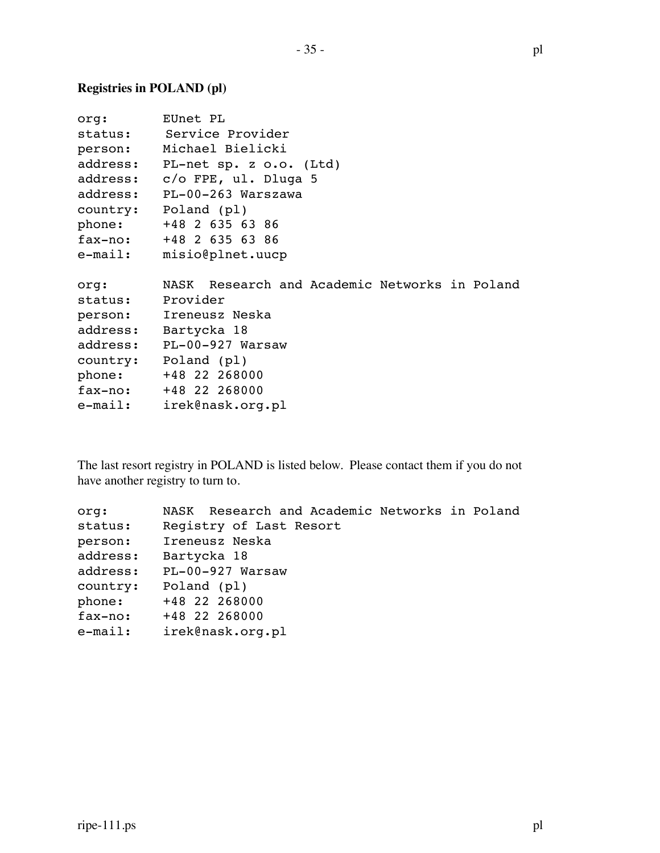### **Registries in POLAND (pl)**

| org:     | EUnet PL                                      |
|----------|-----------------------------------------------|
|          | status: Service Provider                      |
|          | person: Michael Bielicki                      |
| address: | PL-net sp. z o.o. (Ltd)                       |
|          | address: c/o FPE, ul. Dluga 5                 |
|          | address: PL-00-263 Warszawa                   |
|          | country: Poland (pl)                          |
| phone:   | +48 2 635 63 86                               |
|          | fax-no: +48 2 635 63 86                       |
| e-mail:  | misio@plnet.uucp                              |
|          |                                               |
| org:     | NASK Research and Academic Networks in Poland |
| status:  | Provider                                      |
|          | person: Ireneusz Neska                        |
| address: | Bartycka 18                                   |
|          | address: PL-00-927 Warsaw                     |
|          | country: Poland (pl)                          |
|          | phone: +48 22 268000                          |
|          | fax-no: +48 22 268000                         |
|          | e-mail: irek@nask.org.pl                      |
|          |                                               |

The last resort registry in POLAND is listed below. Please contact them if you do not have another registry to turn to.

| ora:       | NASK Research and Academic Networks in Poland |
|------------|-----------------------------------------------|
| status:    | Reqistry of Last Resort                       |
| person:    | Ireneusz Neska                                |
| address:   | Bartycka 18                                   |
| address:   | PL-00-927 Warsaw                              |
| country:   | Poland (pl)                                   |
| phone:     | +48 22 268000                                 |
| fax-no:    | +48 22 268000                                 |
| $e$ -mail: | irek@nask.org.pl                              |
|            |                                               |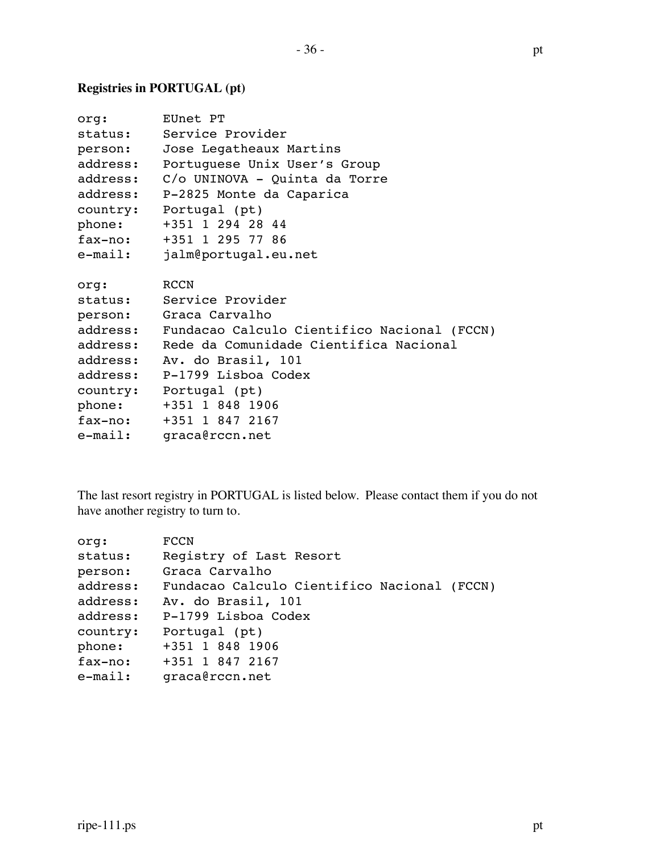### **Registries in PORTUGAL (pt)**

| org:     | EUnet PT                                             |
|----------|------------------------------------------------------|
| status:  | Service Provider                                     |
| person:  | Jose Legatheaux Martins                              |
| address: | Portuguese Unix User's Group                         |
| address: | C/o UNINOVA - Quinta da Torre                        |
| address: | P-2825 Monte da Caparica                             |
| country: | Portugal (pt)                                        |
| phone:   | +351 1 294 28 44                                     |
| fax-no:  | +351 1 295 77 86                                     |
| e-mail:  | jalm@portugal.eu.net                                 |
|          |                                                      |
| org:     | RCCN                                                 |
|          | status: Service Provider                             |
|          | person: Graca Carvalho                               |
|          | address: Fundacao Calculo Cientifico Nacional (FCCN) |
| address: | Rede da Comunidade Cientifica Nacional               |
| address: | Av. do Brasil, 101                                   |
| address: | P-1799 Lisboa Codex                                  |
|          | country: Portugal (pt)                               |
| phone:   | +351 1 848 1906                                      |
| fax-no:  | +351 1 847 2167                                      |
| e-mail:  | graca@rccn.net                                       |

The last resort registry in PORTUGAL is listed below. Please contact them if you do not have another registry to turn to.

| org:       | <b>FCCN</b>                                 |
|------------|---------------------------------------------|
| status:    | Registry of Last Resort                     |
| person:    | Graca Carvalho                              |
| address:   | Fundacao Calculo Cientifico Nacional (FCCN) |
| address:   | Av. do Brasil, 101                          |
| address:   | P-1799 Lisboa Codex                         |
| country:   | Portugal (pt)                               |
| phone:     | +351 1 848 1906                             |
| fax-no:    | +351 1 847 2167                             |
| $e$ -mail: | graca@rccn.net                              |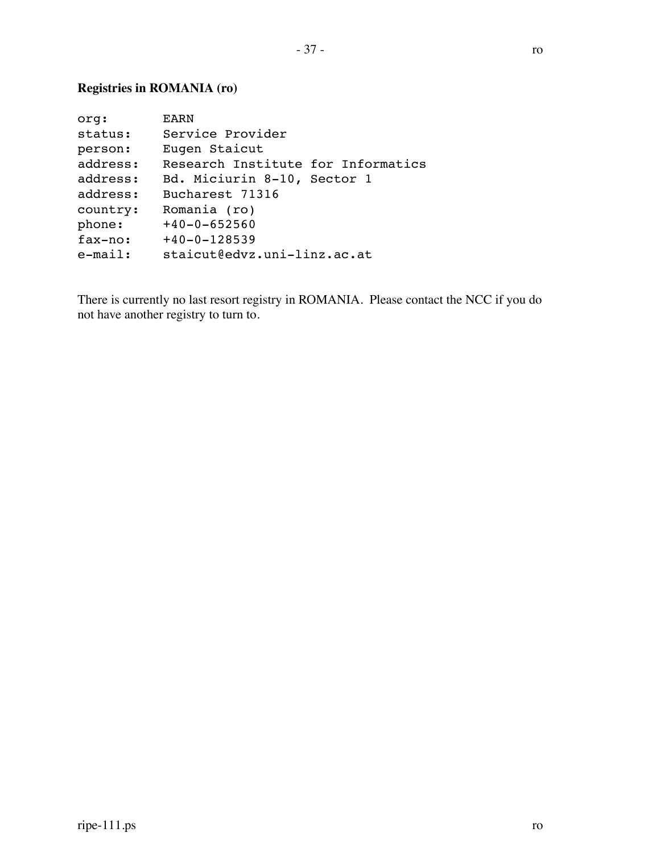### **Registries in ROMANIA (ro)**

| EARN                               |
|------------------------------------|
| Service Provider                   |
| Eugen Staicut                      |
| Research Institute for Informatics |
| Bd. Miciurin 8-10, Sector 1        |
| Bucharest 71316                    |
| Romania (ro)                       |
| $+40-0-652560$                     |
| $+40-0-128539$                     |
| staicut@edvz.uni-linz.ac.at        |
|                                    |

There is currently no last resort registry in ROMANIA. Please contact the NCC if you do not have another registry to turn to.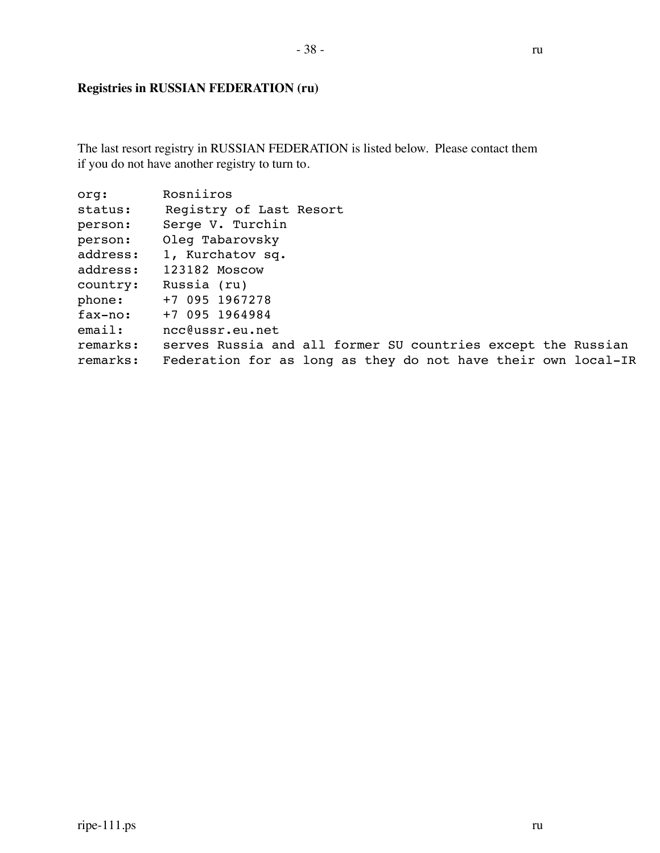## **Registries in RUSSIAN FEDERATION (ru)**

The last resort registry in RUSSIAN FEDERATION is listed below. Please contact them if you do not have another registry to turn to.

| org:      | Rosniiros                                                     |
|-----------|---------------------------------------------------------------|
| status:   | Registry of Last Resort                                       |
| person:   | Serge V. Turchin                                              |
| person:   | Oleg Tabarovsky                                               |
| address:  | 1, Kurchatov sq.                                              |
| address:  | 123182 Moscow                                                 |
| country:  | Russia (ru)                                                   |
| phone:    | +7 095 1967278                                                |
| $fax-no:$ | +7 095 1964984                                                |
| email:    | ncc@ussr.eu.net                                               |
| remarks:  | serves Russia and all former SU countries except the Russian  |
| remarks:  | Federation for as long as they do not have their own local-IR |
|           |                                                               |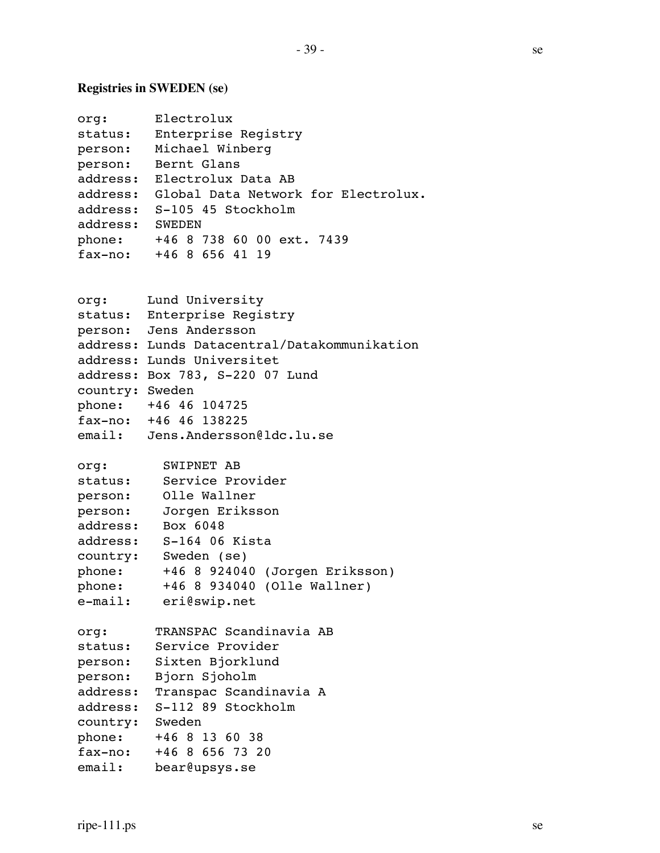# **Registries in SWEDEN (se)**

| org:            | Electrolux                                   |
|-----------------|----------------------------------------------|
|                 | status: Enterprise Registry                  |
|                 | person: Michael Winberg                      |
|                 | person: Bernt Glans                          |
|                 | address: Electrolux Data AB                  |
|                 | address: Global Data Network for Electrolux. |
|                 | address: S-105 45 Stockholm                  |
| address: SWEDEN |                                              |
|                 | phone: +46 8 738 60 00 ext. 7439             |
|                 | $\overline{f}$ ax-no: +46 8 656 41 19        |
|                 |                                              |
| org:            | Lund University                              |
|                 | status: Enterprise Registry                  |
|                 | person: Jens Andersson                       |
|                 | address: Lunds Datacentral/Datakommunikation |
|                 | address: Lunds Universitet                   |
|                 | address: Box 783, S-220 07 Lund              |
| country: Sweden |                                              |
|                 | phone: +46 46 104725                         |
|                 | fax-no: +46 46 138225                        |
|                 | email: Jens.Andersson@ldc.lu.se              |
| org:            | SWIPNET AB                                   |
|                 | status: Service Provider                     |
|                 | person: Olle Wallner                         |
|                 | person: Jorgen Eriksson                      |
|                 | address: Box 6048                            |
|                 | address: S-164 06 Kista                      |
|                 | country: Sweden (se)                         |
|                 | phone: +46 8 924040 (Jorgen Eriksson)        |
| phone:          | +46 8 934040 (Olle Wallner)                  |
| e-mail:         | eri@swip.net                                 |
| org:            | TRANSPAC Scandinavia AB                      |
| status:         | Service Provider                             |
|                 | person: Sixten Bjorklund                     |
| person:         | Bjorn Sjoholm                                |
| address:        | Transpac Scandinavia A                       |
|                 | address: S-112 89 Stockholm                  |
| country: Sweden |                                              |
| phone:          | +46 8 13 60 38                               |
|                 | fax-no: +46 8 656 73 20                      |
| email:          | bear@upsys.se                                |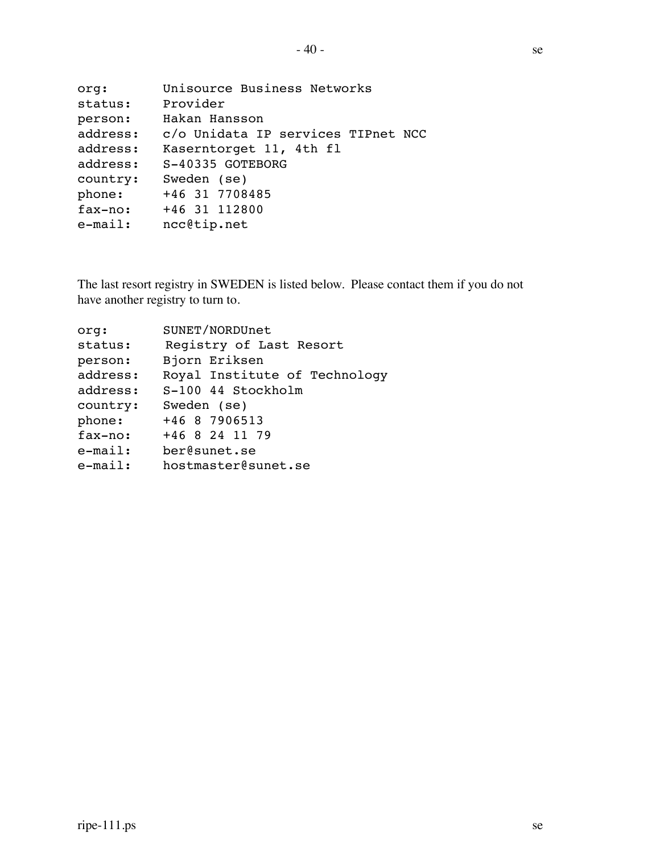| org:       | Unisource Business Networks        |
|------------|------------------------------------|
| status:    | Provider                           |
| person:    | Hakan Hansson                      |
| address:   | c/o Unidata IP services TIPnet NCC |
| address:   | Kaserntorget 11, 4th fl            |
| address:   | S-40335 GOTEBORG                   |
| country:   | Sweden (se)                        |
| phone:     | +46 31 7708485                     |
| fax-no:    | +46 31 112800                      |
| $e$ -mail: | ncc@tip.net                        |
|            |                                    |

The last resort registry in SWEDEN is listed below. Please contact them if you do not have another registry to turn to.

| org:       | SUNET/NORDUnet                |
|------------|-------------------------------|
| status:    | Registry of Last Resort       |
| person:    | Bjorn Eriksen                 |
| address:   | Royal Institute of Technology |
| address:   | S-100 44 Stockholm            |
| country:   | Sweden (se)                   |
| phone:     | +46 8 7906513                 |
| fax-no:    | +46 8 24 11 79                |
| $e$ -mail: | ber@sunet.se                  |
| $e$ -mail: | hostmaster@sunet.se           |
|            |                               |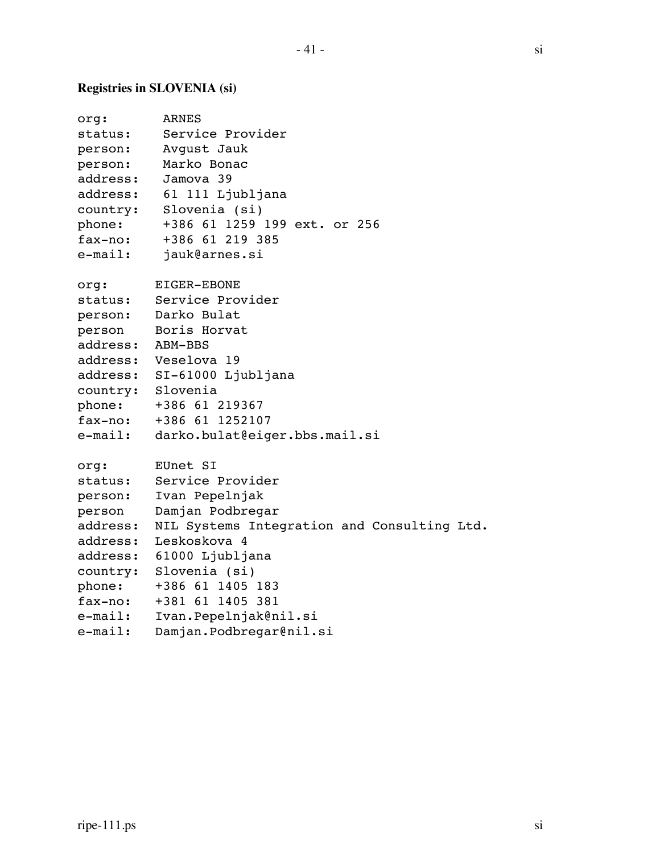## **Registries in SLOVENIA (si)**

| org:<br>status:<br>person:<br>person:<br>address:<br>address:<br>country:<br>phone:<br>fax-no:<br>e-mail: | ARNES<br>Service Provider<br>Avqust Jauk<br>Marko Bonac<br>Jamova 39<br>61 111 Ljubljana<br>Slovenia (si)<br>+386 61 1259 199 ext. or 256<br>+386 61 219 385<br>jauk@arnes.si |
|-----------------------------------------------------------------------------------------------------------|-------------------------------------------------------------------------------------------------------------------------------------------------------------------------------|
| org:                                                                                                      | EIGER-EBONE                                                                                                                                                                   |
| status:                                                                                                   | Service Provider                                                                                                                                                              |
| person:                                                                                                   | Darko Bulat                                                                                                                                                                   |
| person                                                                                                    | Boris Horvat                                                                                                                                                                  |
| address: ABM-BBS                                                                                          |                                                                                                                                                                               |
|                                                                                                           | address: Veselova 19                                                                                                                                                          |
|                                                                                                           | address: SI-61000 Ljubljana                                                                                                                                                   |
| country: Slovenia                                                                                         |                                                                                                                                                                               |
| phone:                                                                                                    | +386 61 219367                                                                                                                                                                |
| fax-no:                                                                                                   | +386 61 1252107                                                                                                                                                               |
| e-mail:                                                                                                   | darko.bulat@eiger.bbs.mail.si                                                                                                                                                 |
| org:                                                                                                      | EUnet SI                                                                                                                                                                      |
| status:                                                                                                   | Service Provider                                                                                                                                                              |
| person:                                                                                                   | Ivan Pepelnjak                                                                                                                                                                |
| person                                                                                                    | Damjan Podbregar                                                                                                                                                              |
| address:                                                                                                  | NIL Systems Integration and Consulting Ltd.                                                                                                                                   |
| address:                                                                                                  | Leskoskova 4                                                                                                                                                                  |
| address:                                                                                                  | 61000 Ljubljana                                                                                                                                                               |
| country:                                                                                                  | Slovenia (si)                                                                                                                                                                 |
| phone:                                                                                                    | +386 61 1405 183                                                                                                                                                              |
| fax-no:                                                                                                   | +381 61 1405 381                                                                                                                                                              |
| $e$ -mail:                                                                                                | Ivan.Pepelnjak@nil.si                                                                                                                                                         |
| $e$ -mail:                                                                                                | Damjan.Podbregar@nil.si                                                                                                                                                       |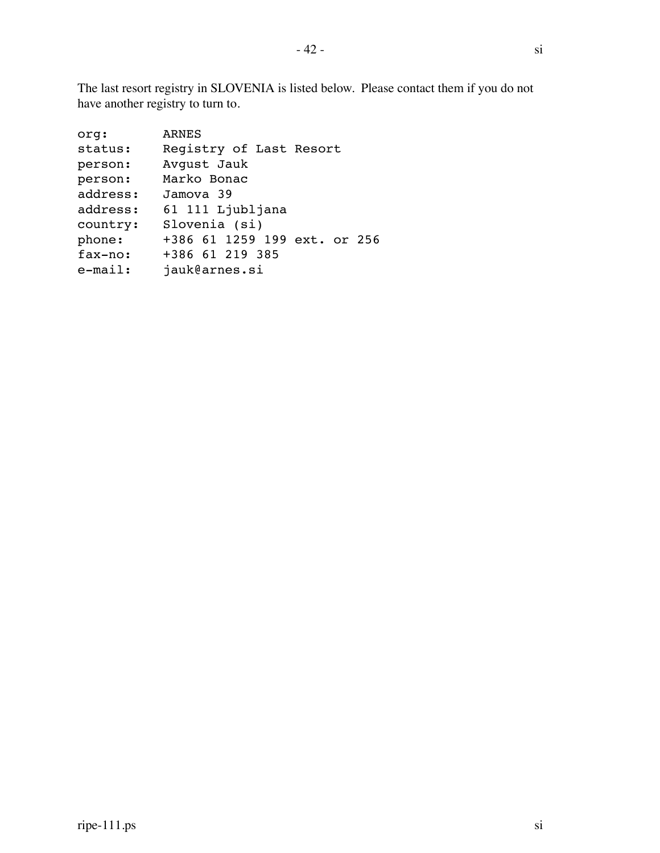The last resort registry in SLOVENIA is listed below. Please contact them if you do not have another registry to turn to.

| +386 61 1259 199 ext. or 256 |
|------------------------------|
|                              |
|                              |
|                              |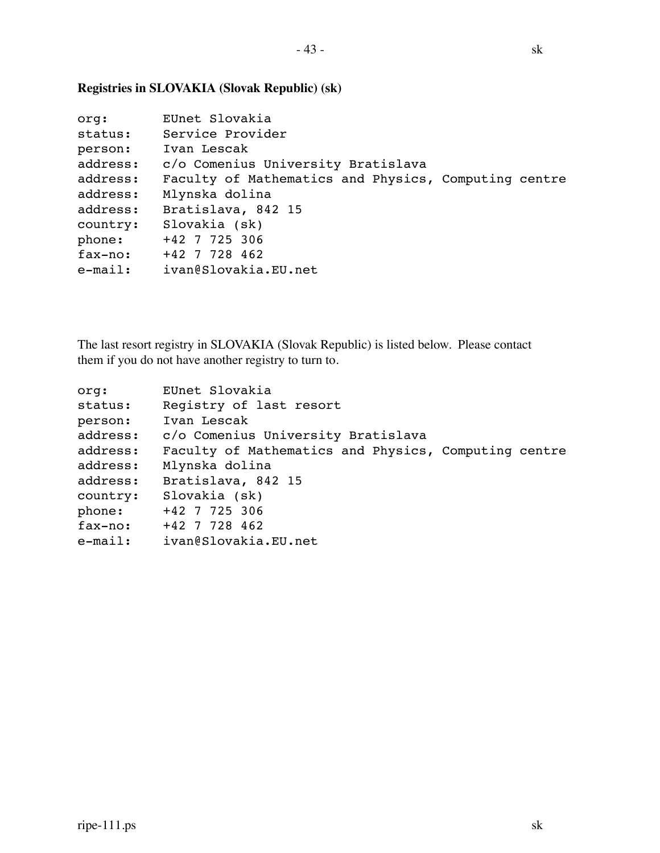|  |  | í<br>Ĺ |
|--|--|--------|
|  |  |        |

```
org: EUnet Slovakia
status: Service Provider
person: Ivan Lescak
address: c/o Comenius University Bratislava
address: Faculty of Mathematics and Physics, Computing centre
address: Mlynska dolina
address: Bratislava, 842 15
country: Slovakia (sk)
phone: +42 7 725 306
fax-no: +42 7 728 462
e-mail: ivan@Slovakia.EU.net
```
#### **Registries in SLOVAKIA (Slovak Republic) (sk)**

The last resort registry in SLOVAKIA (Slovak Republic) is listed below. Please contact them if you do not have another registry to turn to.

| org:     | EUnet Slovakia                                       |
|----------|------------------------------------------------------|
| status:  | Registry of last resort                              |
| person:  | Ivan Lescak                                          |
| address: | c/o Comenius University Bratislava                   |
| address: | Faculty of Mathematics and Physics, Computing centre |
| address: | Mlynska dolina                                       |
| address: | Bratislava, 842 15                                   |
| country: | Slovakia (sk)                                        |
| phone:   | +42 7 725 306                                        |
| fax-no:  | +42 7 728 462                                        |
|          | e-mail: ivan@Slovakia.EU.net                         |
|          |                                                      |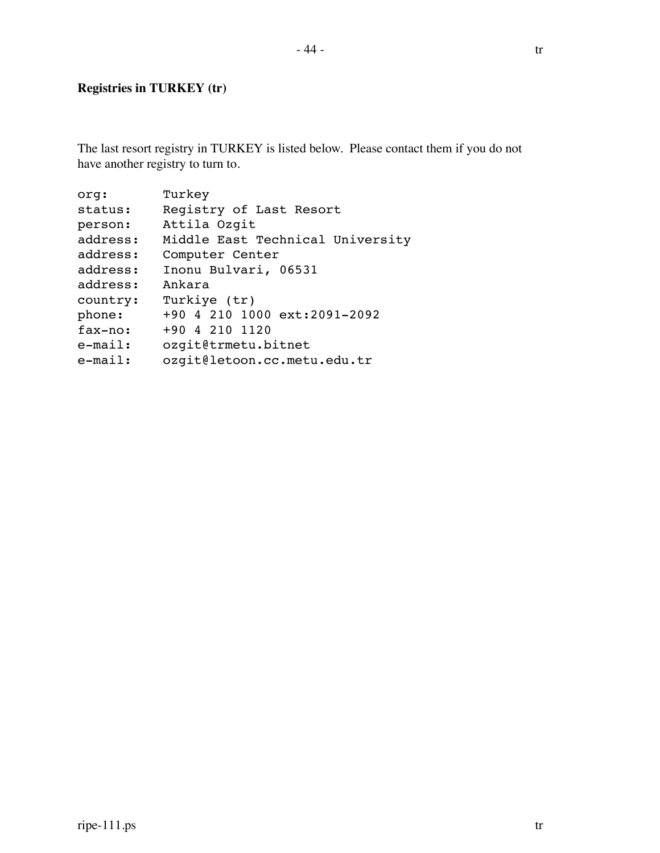### **Registries in TURKEY (tr)**

The last resort registry in TURKEY is listed below. Please contact them if you do not have another registry to turn to.

| org:       | Turkey                           |
|------------|----------------------------------|
| status:    | Registry of Last Resort          |
| person:    | Attila Ozgit                     |
| address:   | Middle East Technical University |
| address:   | Computer Center                  |
| address:   | Inonu Bulvari, 06531             |
| address:   | Ankara                           |
| country:   | Turkiye (tr)                     |
| phone:     | +90 4 210 1000 ext:2091-2092     |
| fax-no:    | +90 4 210 1120                   |
| $e$ -mail: | ozgit@trmetu.bitnet              |
| $e$ -mail: | ozgit@letoon.cc.metu.edu.tr      |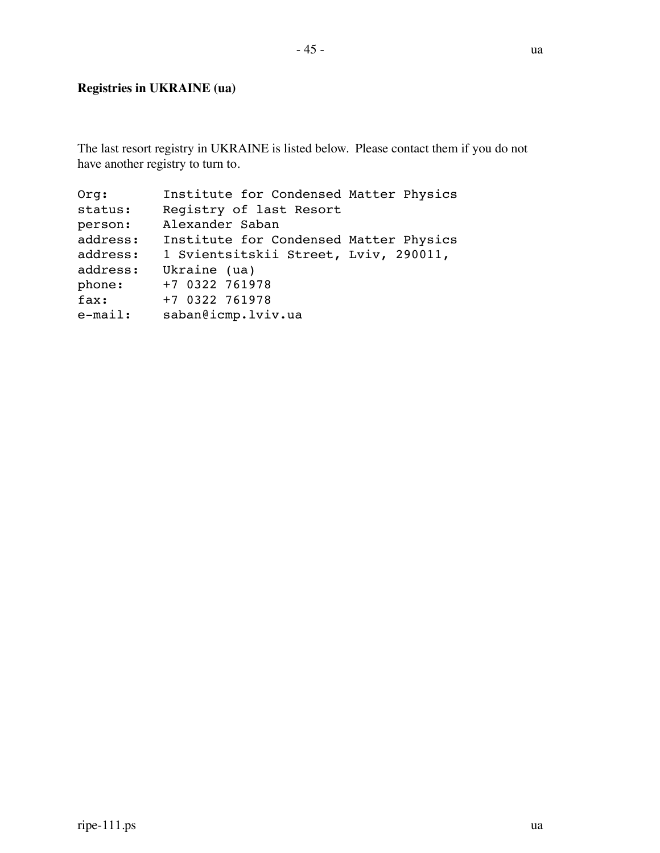### **Registries in UKRAINE (ua)**

The last resort registry in UKRAINE is listed below. Please contact them if you do not have another registry to turn to.

| Orq:       | Institute for Condensed Matter Physics |
|------------|----------------------------------------|
| status:    | Registry of last Resort                |
| person:    | Alexander Saban                        |
| address:   | Institute for Condensed Matter Physics |
| address:   | 1 Svientsitskii Street, Lviv, 290011,  |
| address:   | Ukraine (ua)                           |
| phone:     | +7 0322 761978                         |
| fax:       | +7 0322 761978                         |
| $e$ -mail: | saban@icmp.lviv.ua                     |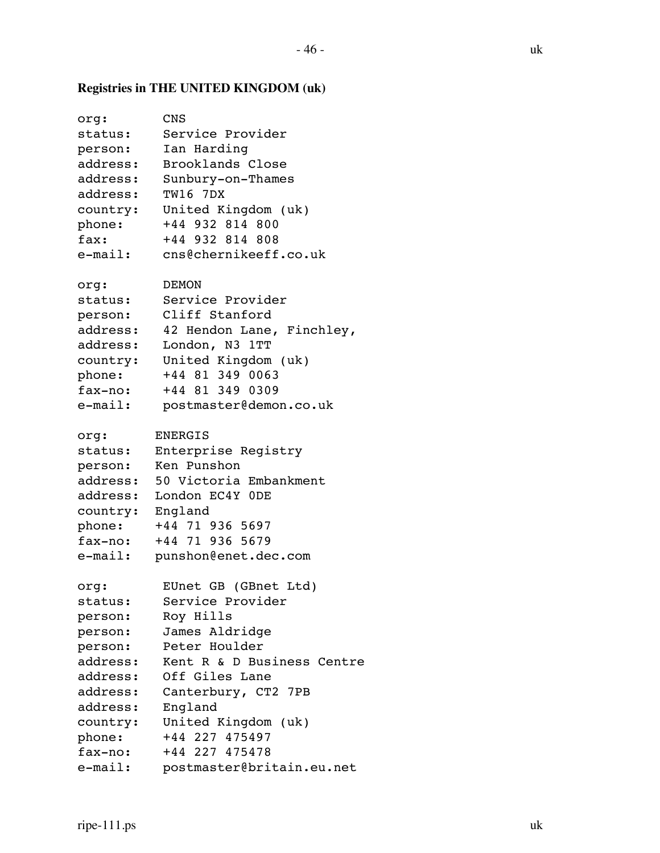# **Registries in THE UNITED KINGDOM (uk)**

| org:       | CNS                        |
|------------|----------------------------|
| status:    | Service Provider           |
| person:    | Ian Harding                |
| address:   | Brooklands Close           |
| address:   | Sunbury-on-Thames          |
| address:   | <b>TW16 7DX</b>            |
| country:   | United Kingdom (uk)        |
| phone:     | +44 932 814 800            |
| fax:       | +44 932 814 808            |
| $e$ -mail: | cns@chernikeeff.co.uk      |
| org:       | DEMON                      |
| status:    | Service Provider           |
| person:    | Cliff Stanford             |
| address:   | 42 Hendon Lane, Finchley,  |
| address:   | London, N3<br>1TT          |
| country:   | United Kingdom (uk)        |
| phone:     | +44 81 349 0063            |
| fax-no:    | +44 81 349 0309            |
| $e$ -mail: | postmaster@demon.co.uk     |
| org:       | <b>ENERGIS</b>             |
| status:    | Enterprise Registry        |
| person:    | Ken Punshon                |
| address:   | 50 Victoria Embankment     |
| address:   | London EC4Y ODE            |
| country:   | England                    |
| phone:     | +44 71 936 5697            |
| fax-no:    | +44 71 936 5679            |
| e-mail:    | punshon@enet.dec.com       |
| org:       | EUnet GB<br>(GBnet Ltd)    |
| status:    | Service Provider           |
| person:    | Roy Hills                  |
| person:    | James Aldridge             |
| person:    | Peter Houlder              |
| address:   | Kent R & D Business Centre |
| address:   | Off Giles Lane             |
| address:   | Canterbury, CT2 7PB        |
| address:   | England                    |
| country:   | United Kingdom (uk)        |
| phone:     | +44 227 475497             |
| fax-no:    | +44 227 475478             |
| $e$ -mail: | postmaster@britain.eu.net  |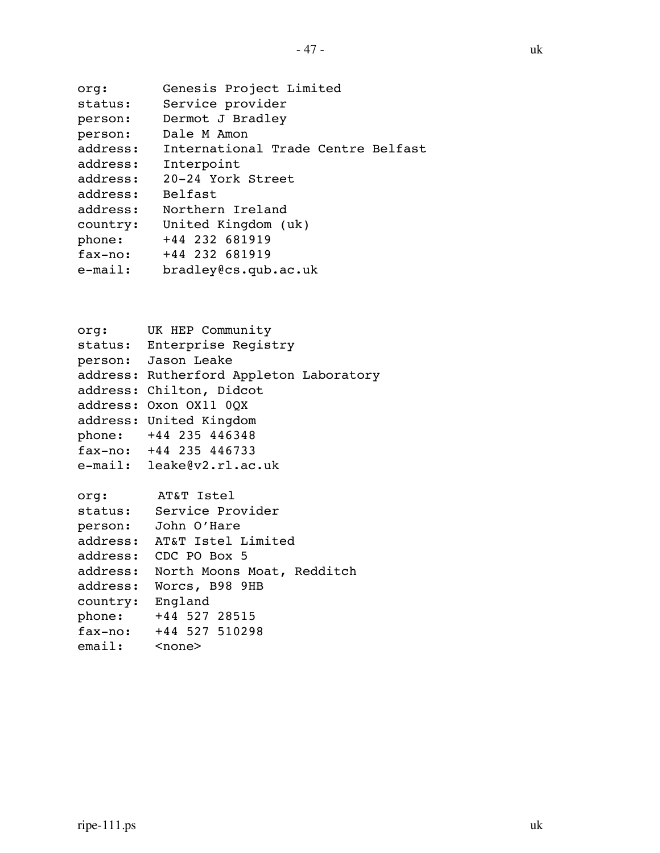| org:     | Genesis Project Limited            |
|----------|------------------------------------|
| status:  | Service provider                   |
| person:  | Dermot J Bradley                   |
| person:  | Dale M Amon                        |
| address: | International Trade Centre Belfast |
| address: | Interpoint                         |
| address: | 20-24 York Street                  |
| address: | <b>Belfast</b>                     |
| address: | Northern Ireland                   |
| country: | United Kingdom (uk)                |
| phone:   | +44 232 681919                     |
| fax-no:  | +44 232 681919                     |
| e-mail:  | bradley@cs.qub.ac.uk               |
|          |                                    |

org: UK HEP Community status: Enterprise Registry person: Jason Leake address: Rutherford Appleton Laboratory address: Chilton, Didcot address: Oxon OX11 0QX address: United Kingdom phone: +44 235 446348 fax-no: +44 235 446733 e-mail: leake@v2.rl.ac.uk org: AT&T Istel status: Service Provider person: John O'Hare address: AT&T Istel Limited address: CDC PO Box 5 address: North Moons Moat, Redditch address: Worcs, B98 9HB country: England phone: +44 527 28515 fax-no: +44 527 510298 email: <none>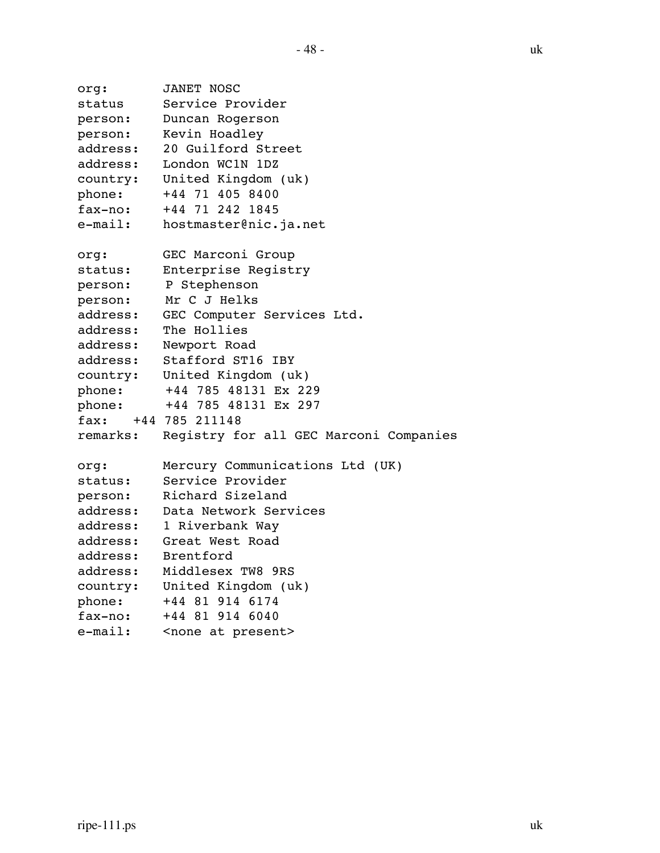```
org: JANET NOSC
status Service Provider
person: Duncan Rogerson
person: Kevin Hoadley
address: 20 Guilford Street
address: London WC1N 1DZ
country: United Kingdom (uk)
phone: +44 71 405 8400
fax-no: +44 71 242 1845
e-mail: hostmaster@nic.ja.net
org: GEC Marconi Group
status: Enterprise Registry
person: P Stephenson
person: Mr C J Helks
address: GEC Computer Services Ltd.
address: The Hollies
address: Newport Road
address: Stafford ST16 IBY
country: United Kingdom (uk)
phone: +44 785 48131 Ex 229
phone: +44 785 48131 Ex 297
fax: +44 785 211148
remarks: Registry for all GEC Marconi Companies
org: Mercury Communications Ltd (UK)
status: Service Provider
person: Richard Sizeland
address: Data Network Services
address: 1 Riverbank Way
address: Great West Road
address: Brentford
address: Middlesex TW8 9RS
country: United Kingdom (uk)
phone: +44 81 914 6174
fax-no: +44 81 914 6040
e-mail: < none at present>
```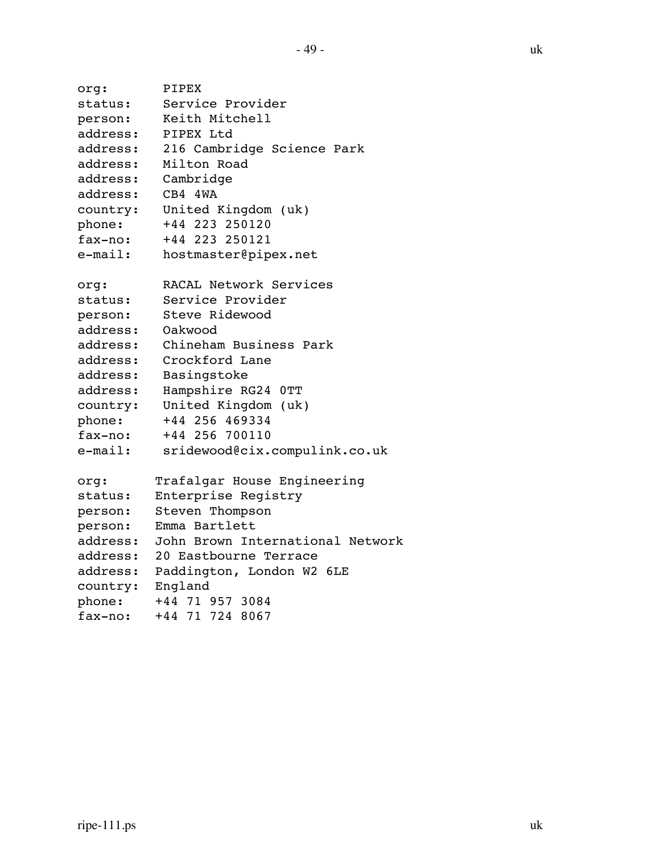```
org: PIPEX
status: Service Provider
person: Keith Mitchell
address: PIPEX Ltd
address: 216 Cambridge Science Park
address: Milton Road
address: Cambridge
address: CB4 4WA
country: United Kingdom (uk)
phone: +44 223 250120
fax-no: +44 223 250121
e-mail: hostmaster@pipex.net
org: RACAL Network Services
status: Service Provider
person: Steve Ridewood
address: Oakwood
address: Chineham Business Park
address: Crockford Lane
address: Basingstoke
address: Hampshire RG24 0TT
country: United Kingdom (uk)
phone: +44 256 469334
fax-no: +44 256 700110
e-mail: sridewood@cix.compulink.co.uk
org: Trafalgar House Engineering
status: Enterprise Registry
person: Steven Thompson
person: Emma Bartlett
address: John Brown International Network
address: 20 Eastbourne Terrace
address: Paddington, London W2 6LE
country: England
phone: +44 71 957 3084
fax-no: +44 71 724 8067
```